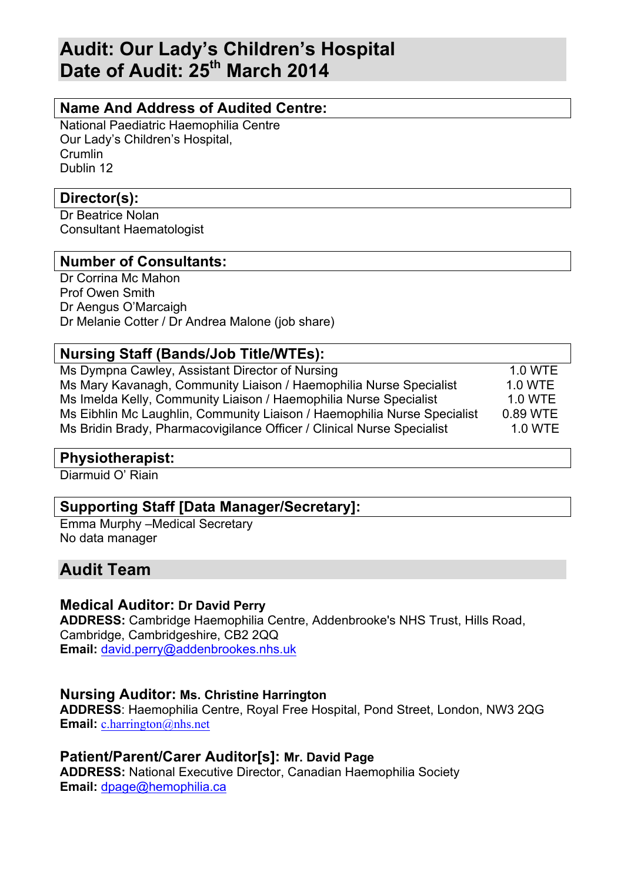# **Audit: Our Lady's Children's Hospital Date of Audit: 25th March 2014**

## **Name And Address of Audited Centre:**

National Paediatric Haemophilia Centre Our Lady's Children's Hospital, **Crumlin** Dublin 12

## **Director(s):**

Dr Beatrice Nolan Consultant Haematologist

## **Number of Consultants:**

Dr Corrina Mc Mahon Prof Owen Smith Dr Aengus O'Marcaigh Dr Melanie Cotter / Dr Andrea Malone (job share)

## **Nursing Staff (Bands/Job Title/WTEs):**

Ms Dympna Cawley, Assistant Director of Nursing 1.0 WTE Ms Mary Kavanagh, Community Liaison / Haemophilia Nurse Specialist 1.0 WTE Ms Imelda Kelly, Community Liaison / Haemophilia Nurse Specialist 1.0 WTE Ms Eibhlin Mc Laughlin, Community Liaison / Haemophilia Nurse Specialist 0.89 WTE Ms Bridin Brady, Pharmacovigilance Officer / Clinical Nurse Specialist 1.0 WTE

## **Physiotherapist:**

Diarmuid O' Riain

## **Supporting Staff [Data Manager/Secretary]:**

Emma Murphy –Medical Secretary No data manager

## **Audit Team**

## **Medical Auditor: Dr David Perry**

**ADDRESS:** Cambridge Haemophilia Centre, Addenbrooke's NHS Trust, Hills Road, Cambridge, Cambridgeshire, CB2 2QQ **Email:** david.perry@addenbrookes.nhs.uk

## **Nursing Auditor: Ms. Christine Harrington**

**ADDRESS**: Haemophilia Centre, Royal Free Hospital, Pond Street, London, NW3 2QG **Email:** c.harrington@nhs.net

**Patient/Parent/Carer Auditor[s]: Mr. David Page ADDRESS:** National Executive Director, Canadian Haemophilia Society **Email:** dpage@hemophilia.ca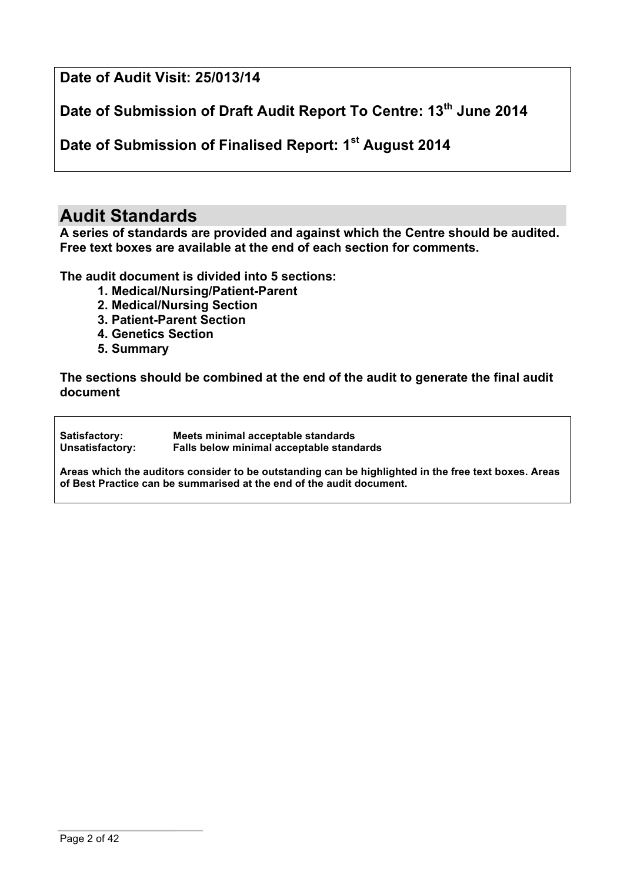**Date of Audit Visit: 25/013/14**

**Date of Submission of Draft Audit Report To Centre: 13th June 2014**

**Date of Submission of Finalised Report: 1st August 2014**

# **Audit Standards**

**A series of standards are provided and against which the Centre should be audited. Free text boxes are available at the end of each section for comments.**

**The audit document is divided into 5 sections:**

- **1. Medical/Nursing/Patient-Parent**
- **2. Medical/Nursing Section**
- **3. Patient-Parent Section**
- **4. Genetics Section**
- **5. Summary**

**The sections should be combined at the end of the audit to generate the final audit document**

**Satisfactory: Meets minimal acceptable standards Unsatisfactory: Falls below minimal acceptable standards**

**Areas which the auditors consider to be outstanding can be highlighted in the free text boxes. Areas of Best Practice can be summarised at the end of the audit document.**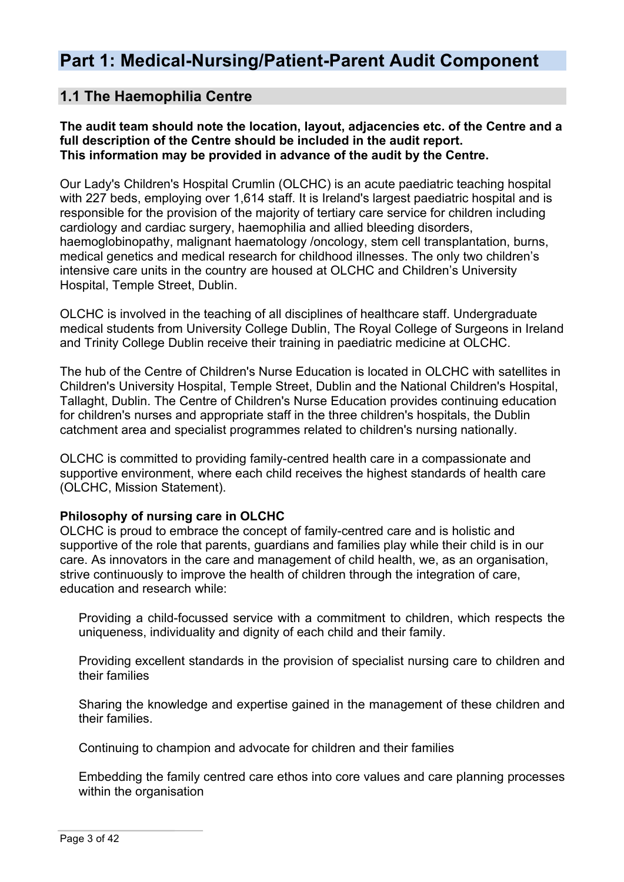# **Part 1: Medical-Nursing/Patient-Parent Audit Component**

## **1.1 The Haemophilia Centre**

**The audit team should note the location, layout, adjacencies etc. of the Centre and a full description of the Centre should be included in the audit report. This information may be provided in advance of the audit by the Centre.**

Our Lady's Children's Hospital Crumlin (OLCHC) is an acute paediatric teaching hospital with 227 beds, employing over 1,614 staff. It is Ireland's largest paediatric hospital and is responsible for the provision of the majority of tertiary care service for children including cardiology and cardiac surgery, haemophilia and allied bleeding disorders, haemoglobinopathy, malignant haematology /oncology, stem cell transplantation, burns, medical genetics and medical research for childhood illnesses. The only two children's intensive care units in the country are housed at OLCHC and Children's University Hospital, Temple Street, Dublin.

OLCHC is involved in the teaching of all disciplines of healthcare staff. Undergraduate medical students from University College Dublin, The Royal College of Surgeons in Ireland and Trinity College Dublin receive their training in paediatric medicine at OLCHC.

The hub of the Centre of Children's Nurse Education is located in OLCHC with satellites in Children's University Hospital, Temple Street, Dublin and the National Children's Hospital, Tallaght, Dublin. The Centre of Children's Nurse Education provides continuing education for children's nurses and appropriate staff in the three children's hospitals, the Dublin catchment area and specialist programmes related to children's nursing nationally.

OLCHC is committed to providing family-centred health care in a compassionate and supportive environment, where each child receives the highest standards of health care (OLCHC, Mission Statement).

#### **Philosophy of nursing care in OLCHC**

OLCHC is proud to embrace the concept of family-centred care and is holistic and supportive of the role that parents, guardians and families play while their child is in our care. As innovators in the care and management of child health, we, as an organisation, strive continuously to improve the health of children through the integration of care, education and research while:

Providing a child-focussed service with a commitment to children, which respects the uniqueness, individuality and dignity of each child and their family.

Providing excellent standards in the provision of specialist nursing care to children and their families

Sharing the knowledge and expertise gained in the management of these children and their families.

Continuing to champion and advocate for children and their families

Embedding the family centred care ethos into core values and care planning processes within the organisation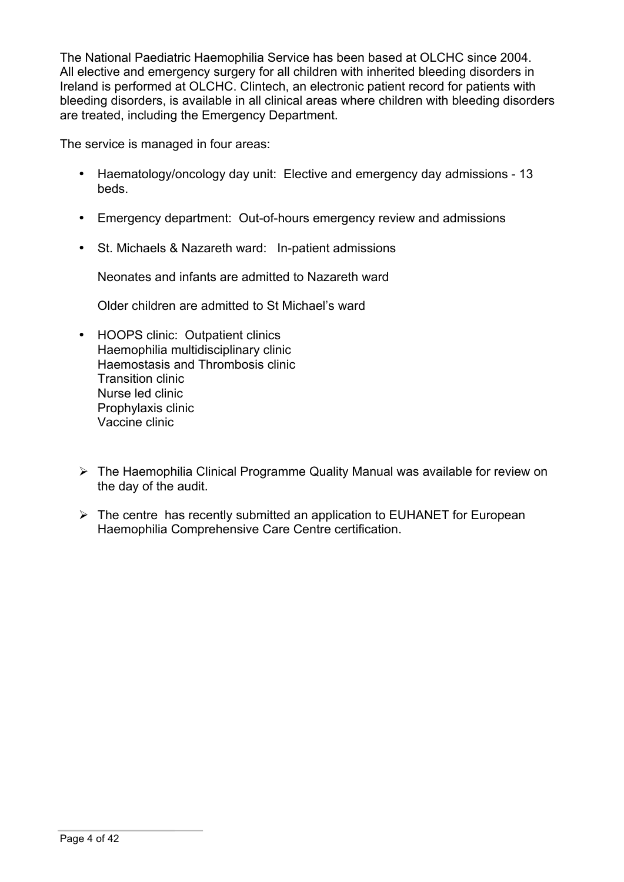The National Paediatric Haemophilia Service has been based at OLCHC since 2004. All elective and emergency surgery for all children with inherited bleeding disorders in Ireland is performed at OLCHC. Clintech, an electronic patient record for patients with bleeding disorders, is available in all clinical areas where children with bleeding disorders are treated, including the Emergency Department.

The service is managed in four areas:

- Haematology/oncology day unit: Elective and emergency day admissions 13 beds.
- Emergency department: Out-of-hours emergency review and admissions
- St. Michaels & Nazareth ward: In-patient admissions

Neonates and infants are admitted to Nazareth ward

Older children are admitted to St Michael's ward

- HOOPS clinic: Outpatient clinics Haemophilia multidisciplinary clinic Haemostasis and Thrombosis clinic Transition clinic Nurse led clinic Prophylaxis clinic Vaccine clinic
- $\triangleright$  The Haemophilia Clinical Programme Quality Manual was available for review on the day of the audit.
- $\triangleright$  The centre has recently submitted an application to EUHANET for European Haemophilia Comprehensive Care Centre certification.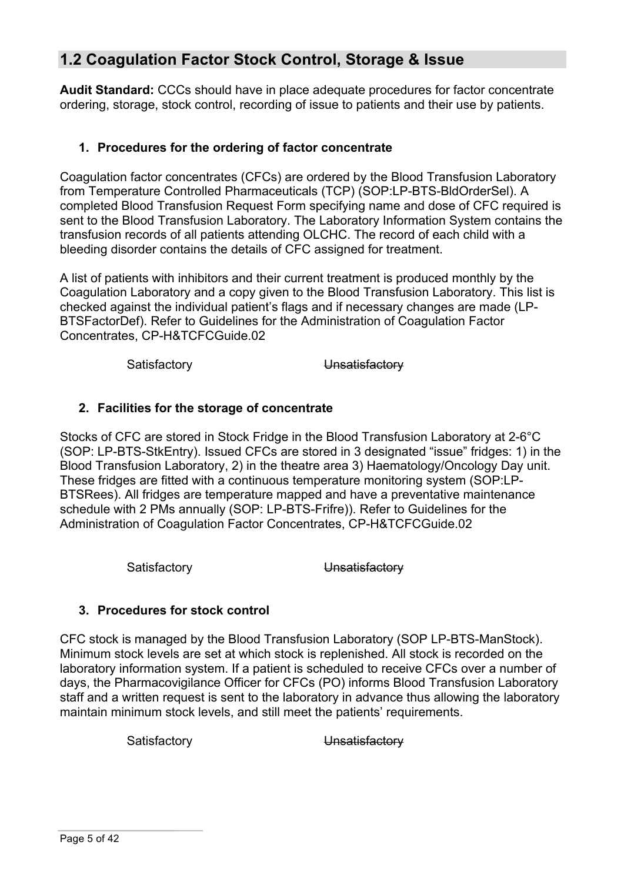# **1.2 Coagulation Factor Stock Control, Storage & Issue**

**Audit Standard:** CCCs should have in place adequate procedures for factor concentrate ordering, storage, stock control, recording of issue to patients and their use by patients.

## **1. Procedures for the ordering of factor concentrate**

Coagulation factor concentrates (CFCs) are ordered by the Blood Transfusion Laboratory from Temperature Controlled Pharmaceuticals (TCP) (SOP:LP-BTS-BldOrderSel). A completed Blood Transfusion Request Form specifying name and dose of CFC required is sent to the Blood Transfusion Laboratory. The Laboratory Information System contains the transfusion records of all patients attending OLCHC. The record of each child with a bleeding disorder contains the details of CFC assigned for treatment.

A list of patients with inhibitors and their current treatment is produced monthly by the Coagulation Laboratory and a copy given to the Blood Transfusion Laboratory. This list is checked against the individual patient's flags and if necessary changes are made (LP-BTSFactorDef). Refer to Guidelines for the Administration of Coagulation Factor Concentrates, CP-H&TCFCGuide.02

Satisfactory **Unsatisfactory** 

## **2. Facilities for the storage of concentrate**

Stocks of CFC are stored in Stock Fridge in the Blood Transfusion Laboratory at 2-6°C (SOP: LP-BTS-StkEntry). Issued CFCs are stored in 3 designated "issue" fridges: 1) in the Blood Transfusion Laboratory, 2) in the theatre area 3) Haematology/Oncology Day unit. These fridges are fitted with a continuous temperature monitoring system (SOP:LP-BTSRees). All fridges are temperature mapped and have a preventative maintenance schedule with 2 PMs annually (SOP: LP-BTS-Frifre)). Refer to Guidelines for the Administration of Coagulation Factor Concentrates, CP-H&TCFCGuide.02

Satisfactory **Unsatisfactory** 

## **3. Procedures for stock control**

CFC stock is managed by the Blood Transfusion Laboratory (SOP LP-BTS-ManStock). Minimum stock levels are set at which stock is replenished. All stock is recorded on the laboratory information system. If a patient is scheduled to receive CFCs over a number of days, the Pharmacovigilance Officer for CFCs (PO) informs Blood Transfusion Laboratory staff and a written request is sent to the laboratory in advance thus allowing the laboratory maintain minimum stock levels, and still meet the patients' requirements.

Satisfactory **Unsatisfactory**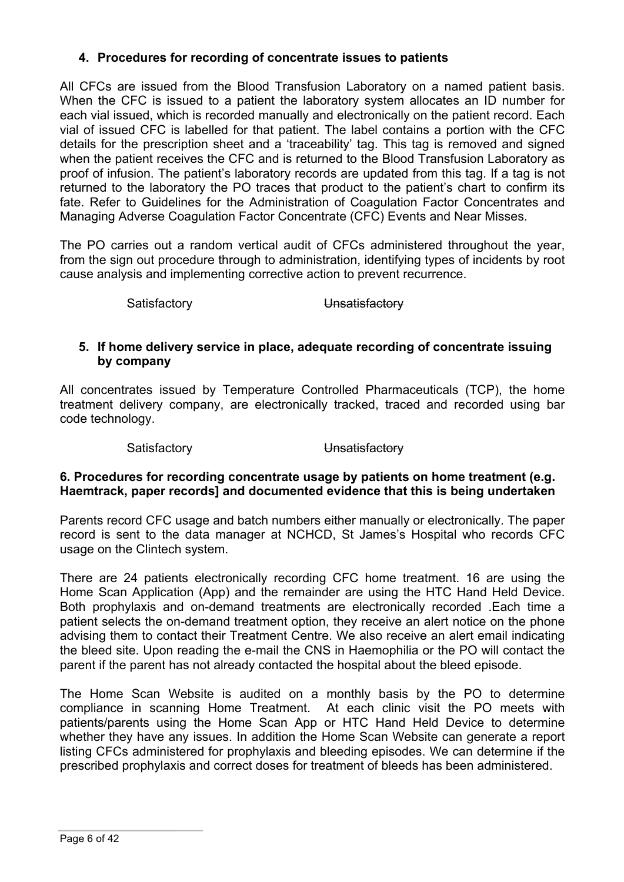## **4. Procedures for recording of concentrate issues to patients**

All CFCs are issued from the Blood Transfusion Laboratory on a named patient basis. When the CFC is issued to a patient the laboratory system allocates an ID number for each vial issued, which is recorded manually and electronically on the patient record. Each vial of issued CFC is labelled for that patient. The label contains a portion with the CFC details for the prescription sheet and a 'traceability' tag. This tag is removed and signed when the patient receives the CFC and is returned to the Blood Transfusion Laboratory as proof of infusion. The patient's laboratory records are updated from this tag. If a tag is not returned to the laboratory the PO traces that product to the patient's chart to confirm its fate. Refer to Guidelines for the Administration of Coagulation Factor Concentrates and Managing Adverse Coagulation Factor Concentrate (CFC) Events and Near Misses.

The PO carries out a random vertical audit of CFCs administered throughout the year, from the sign out procedure through to administration, identifying types of incidents by root cause analysis and implementing corrective action to prevent recurrence.

Satisfactory **Unsatisfactory** 

#### **5. If home delivery service in place, adequate recording of concentrate issuing by company**

All concentrates issued by Temperature Controlled Pharmaceuticals (TCP), the home treatment delivery company, are electronically tracked, traced and recorded using bar code technology.

### Satisfactory **Unsatisfactory**

## **6. Procedures for recording concentrate usage by patients on home treatment (e.g. Haemtrack, paper records] and documented evidence that this is being undertaken**

Parents record CFC usage and batch numbers either manually or electronically. The paper record is sent to the data manager at NCHCD, St James's Hospital who records CFC usage on the Clintech system.

There are 24 patients electronically recording CFC home treatment. 16 are using the Home Scan Application (App) and the remainder are using the HTC Hand Held Device. Both prophylaxis and on-demand treatments are electronically recorded .Each time a patient selects the on-demand treatment option, they receive an alert notice on the phone advising them to contact their Treatment Centre. We also receive an alert email indicating the bleed site. Upon reading the e-mail the CNS in Haemophilia or the PO will contact the parent if the parent has not already contacted the hospital about the bleed episode.

The Home Scan Website is audited on a monthly basis by the PO to determine compliance in scanning Home Treatment. At each clinic visit the PO meets with patients/parents using the Home Scan App or HTC Hand Held Device to determine whether they have any issues. In addition the Home Scan Website can generate a report listing CFCs administered for prophylaxis and bleeding episodes. We can determine if the prescribed prophylaxis and correct doses for treatment of bleeds has been administered.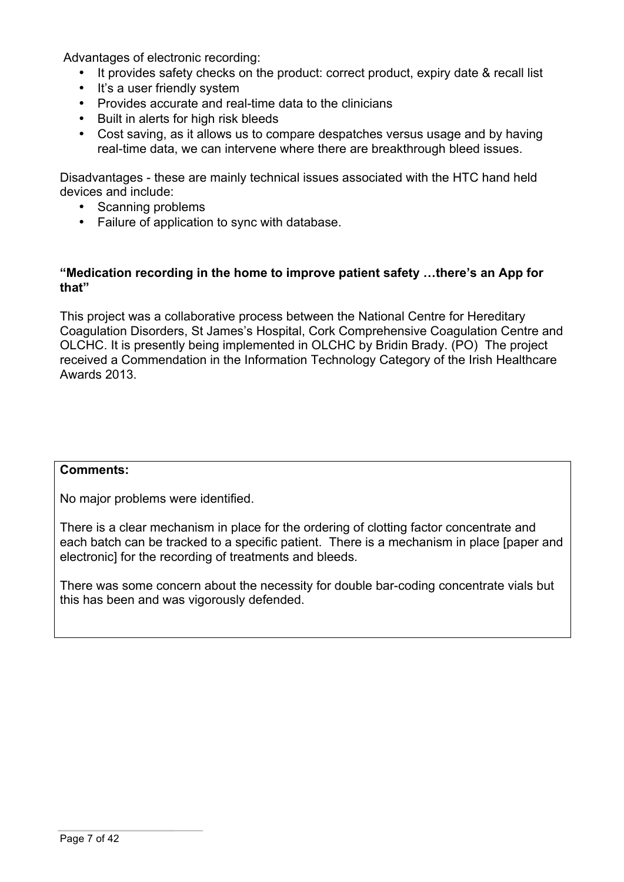Advantages of electronic recording:

- It provides safety checks on the product: correct product, expiry date & recall list
- It's a user friendly system
- Provides accurate and real-time data to the clinicians
- Built in alerts for high risk bleeds
- Cost saving, as it allows us to compare despatches versus usage and by having real-time data, we can intervene where there are breakthrough bleed issues.

Disadvantages - these are mainly technical issues associated with the HTC hand held devices and include:

- Scanning problems
- Failure of application to sync with database.

### **"Medication recording in the home to improve patient safety …there's an App for that"**

This project was a collaborative process between the National Centre for Hereditary Coagulation Disorders, St James's Hospital, Cork Comprehensive Coagulation Centre and OLCHC. It is presently being implemented in OLCHC by Bridin Brady. (PO) The project received a Commendation in the Information Technology Category of the Irish Healthcare Awards 2013.

#### **Comments:**

No major problems were identified.

There is a clear mechanism in place for the ordering of clotting factor concentrate and each batch can be tracked to a specific patient. There is a mechanism in place [paper and electronic] for the recording of treatments and bleeds.

There was some concern about the necessity for double bar-coding concentrate vials but this has been and was vigorously defended.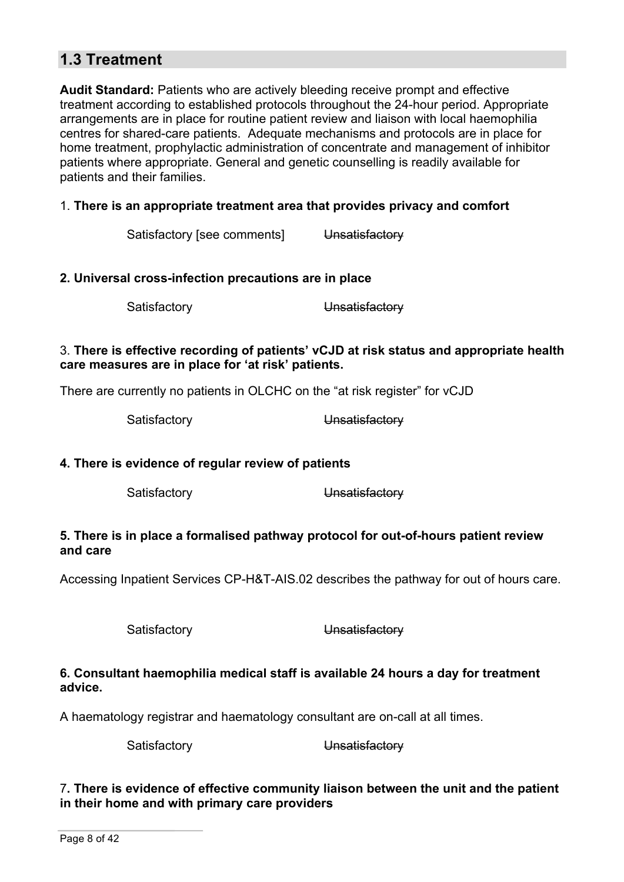# **1.3 Treatment**

**Audit Standard:** Patients who are actively bleeding receive prompt and effective treatment according to established protocols throughout the 24-hour period. Appropriate arrangements are in place for routine patient review and liaison with local haemophilia centres for shared-care patients. Adequate mechanisms and protocols are in place for home treatment, prophylactic administration of concentrate and management of inhibitor patients where appropriate. General and genetic counselling is readily available for patients and their families.

### 1. **There is an appropriate treatment area that provides privacy and comfort**

Satisfactory [see comments] Unsatisfactory

#### **2. Universal cross-infection precautions are in place**

Satisfactory **Unsatisfactory** 

#### 3. **There is effective recording of patients' vCJD at risk status and appropriate health care measures are in place for 'at risk' patients.**

There are currently no patients in OLCHC on the "at risk register" for vCJD

Satisfactory **Unsatisfactory** 

#### **4. There is evidence of regular review of patients**

Satisfactory **Unsatisfactory** 

#### **5. There is in place a formalised pathway protocol for out-of-hours patient review and care**

Accessing Inpatient Services CP-H&T-AIS.02 describes the pathway for out of hours care.

Satisfactory **Unsatisfactory** 

#### **6. Consultant haemophilia medical staff is available 24 hours a day for treatment advice.**

A haematology registrar and haematology consultant are on-call at all times.

Satisfactory **Unsatisfactory** 

#### 7**. There is evidence of effective community liaison between the unit and the patient in their home and with primary care providers**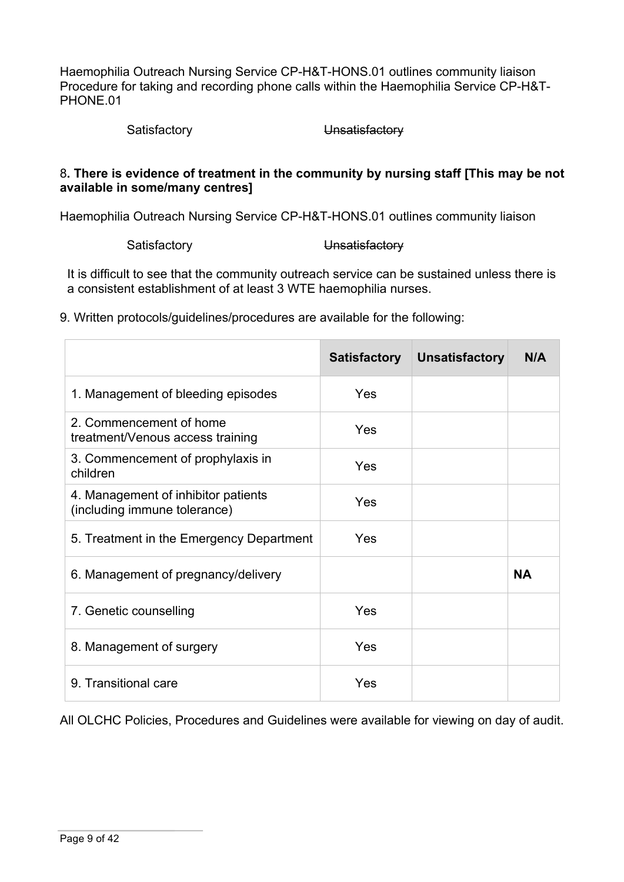Haemophilia Outreach Nursing Service CP-H&T-HONS.01 outlines community liaison Procedure for taking and recording phone calls within the Haemophilia Service CP-H&T-PHONE.01

Satisfactory **Unsatisfactory** 

#### 8**. There is evidence of treatment in the community by nursing staff [This may be not available in some/many centres]**

Haemophilia Outreach Nursing Service CP-H&T-HONS.01 outlines community liaison

Satisfactory **Unsatisfactory** 

It is difficult to see that the community outreach service can be sustained unless there is a consistent establishment of at least 3 WTE haemophilia nurses.

9. Written protocols/guidelines/procedures are available for the following:

|                                                                     | <b>Satisfactory</b> | <b>Unsatisfactory</b> | N/A       |
|---------------------------------------------------------------------|---------------------|-----------------------|-----------|
| 1. Management of bleeding episodes                                  | Yes                 |                       |           |
| 2. Commencement of home<br>treatment/Venous access training         | Yes                 |                       |           |
| 3. Commencement of prophylaxis in<br>children                       | Yes                 |                       |           |
| 4. Management of inhibitor patients<br>(including immune tolerance) | Yes                 |                       |           |
| 5. Treatment in the Emergency Department                            | Yes                 |                       |           |
| 6. Management of pregnancy/delivery                                 |                     |                       | <b>NA</b> |
| 7. Genetic counselling                                              | Yes                 |                       |           |
| 8. Management of surgery                                            | Yes                 |                       |           |
| 9. Transitional care                                                | Yes                 |                       |           |

All OLCHC Policies, Procedures and Guidelines were available for viewing on day of audit.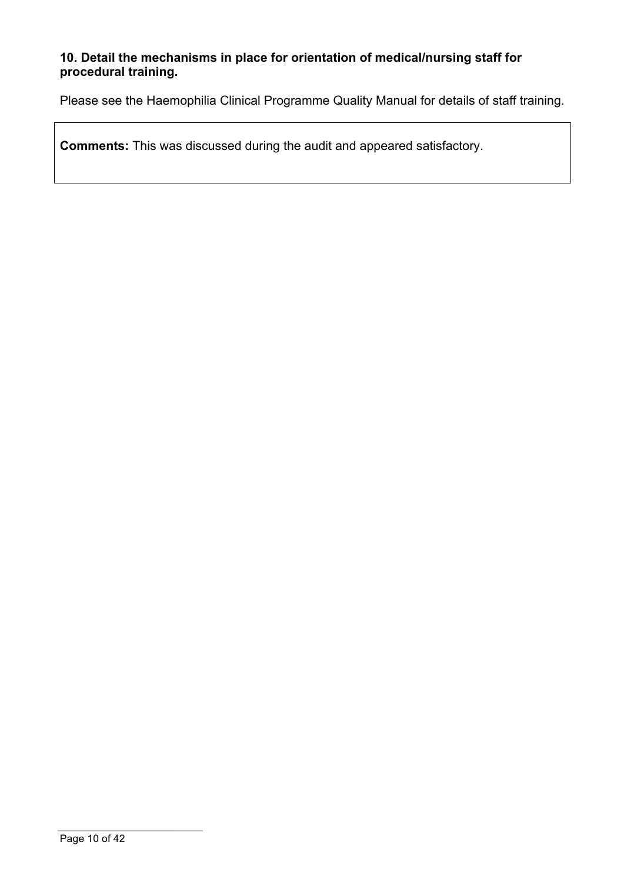## **10. Detail the mechanisms in place for orientation of medical/nursing staff for procedural training.**

Please see the Haemophilia Clinical Programme Quality Manual for details of staff training.

**Comments:** This was discussed during the audit and appeared satisfactory.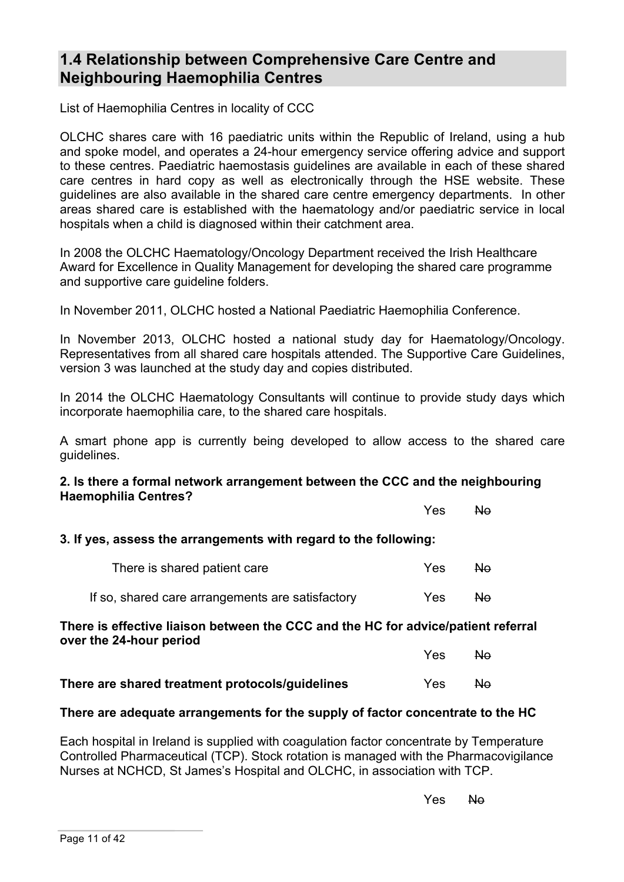## **1.4 Relationship between Comprehensive Care Centre and Neighbouring Haemophilia Centres**

List of Haemophilia Centres in locality of CCC

OLCHC shares care with 16 paediatric units within the Republic of Ireland, using a hub and spoke model, and operates a 24-hour emergency service offering advice and support to these centres. Paediatric haemostasis guidelines are available in each of these shared care centres in hard copy as well as electronically through the HSE website. These guidelines are also available in the shared care centre emergency departments. In other areas shared care is established with the haematology and/or paediatric service in local hospitals when a child is diagnosed within their catchment area.

In 2008 the OLCHC Haematology/Oncology Department received the Irish Healthcare Award for Excellence in Quality Management for developing the shared care programme and supportive care guideline folders.

In November 2011, OLCHC hosted a National Paediatric Haemophilia Conference.

In November 2013, OLCHC hosted a national study day for Haematology/Oncology. Representatives from all shared care hospitals attended. The Supportive Care Guidelines, version 3 was launched at the study day and copies distributed.

In 2014 the OLCHC Haematology Consultants will continue to provide study days which incorporate haemophilia care, to the shared care hospitals.

A smart phone app is currently being developed to allow access to the shared care guidelines.

#### **2. Is there a formal network arrangement between the CCC and the neighbouring Haemophilia Centres?**

Yes No

Yes No

#### **3. If yes, assess the arrangements with regard to the following:**

| There is shared patient care                     | Yes. | No. |
|--------------------------------------------------|------|-----|
| If so, shared care arrangements are satisfactory | Yes. | No. |

#### **There is effective liaison between the CCC and the HC for advice/patient referral over the 24-hour period**

| There are shared treatment protocols/quidelines | Yes: | No. |
|-------------------------------------------------|------|-----|

#### **There are adequate arrangements for the supply of factor concentrate to the HC**

Each hospital in Ireland is supplied with coagulation factor concentrate by Temperature Controlled Pharmaceutical (TCP). Stock rotation is managed with the Pharmacovigilance Nurses at NCHCD, St James's Hospital and OLCHC, in association with TCP.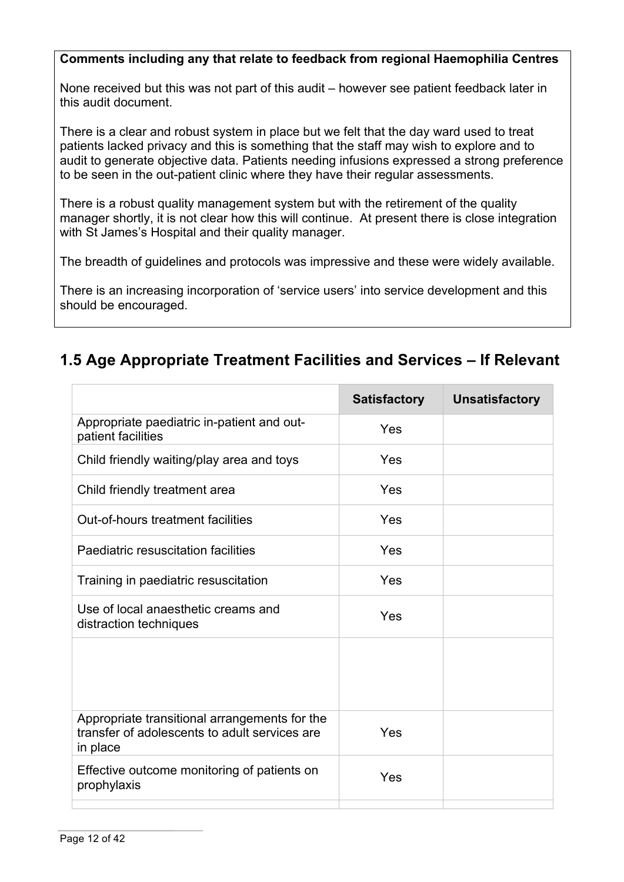## **Comments including any that relate to feedback from regional Haemophilia Centres**

None received but this was not part of this audit – however see patient feedback later in this audit document.

There is a clear and robust system in place but we felt that the day ward used to treat patients lacked privacy and this is something that the staff may wish to explore and to audit to generate objective data. Patients needing infusions expressed a strong preference to be seen in the out-patient clinic where they have their regular assessments.

There is a robust quality management system but with the retirement of the quality manager shortly, it is not clear how this will continue. At present there is close integration with St James's Hospital and their quality manager.

The breadth of guidelines and protocols was impressive and these were widely available.

There is an increasing incorporation of 'service users' into service development and this should be encouraged.

# **1.5 Age Appropriate Treatment Facilities and Services – If Relevant**

|                                                                                                            | <b>Satisfactory</b> | <b>Unsatisfactory</b> |
|------------------------------------------------------------------------------------------------------------|---------------------|-----------------------|
| Appropriate paediatric in-patient and out-<br>patient facilities                                           | Yes                 |                       |
| Child friendly waiting/play area and toys                                                                  | Yes                 |                       |
| Child friendly treatment area                                                                              | Yes                 |                       |
| Out-of-hours treatment facilities                                                                          | Yes                 |                       |
| Paediatric resuscitation facilities                                                                        | Yes                 |                       |
| Training in paediatric resuscitation                                                                       | Yes                 |                       |
| Use of local anaesthetic creams and<br>distraction techniques                                              | Yes                 |                       |
|                                                                                                            |                     |                       |
| Appropriate transitional arrangements for the<br>transfer of adolescents to adult services are<br>in place | Yes                 |                       |
| Effective outcome monitoring of patients on<br>prophylaxis                                                 | Yes                 |                       |
|                                                                                                            |                     |                       |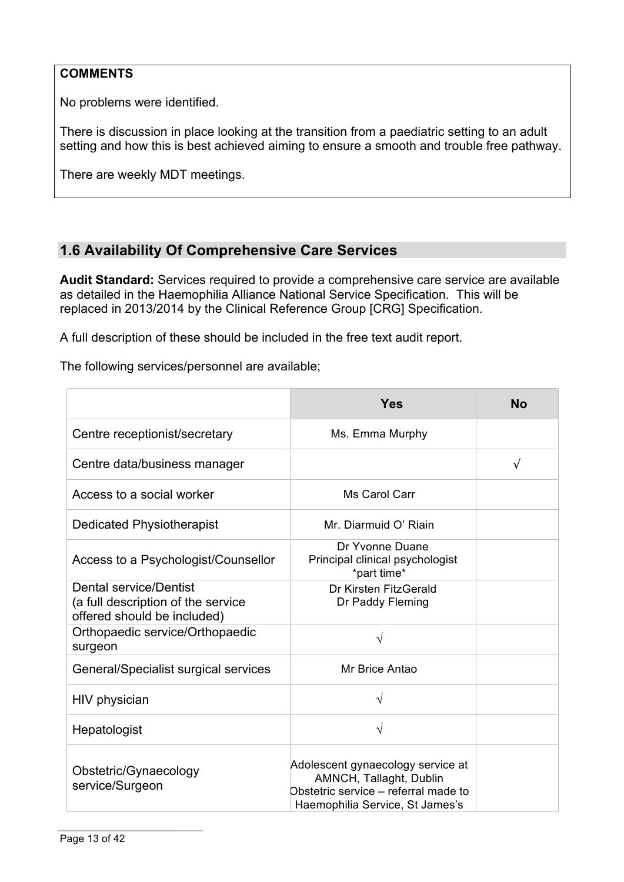## **COMMENTS**

No problems were identified.

There is discussion in place looking at the transition from a paediatric setting to an adult setting and how this is best achieved aiming to ensure a smooth and trouble free pathway.

There are weekly MDT meetings.

## **1.6 Availability Of Comprehensive Care Services**

**Audit Standard:** Services required to provide a comprehensive care service are available as detailed in the Haemophilia Alliance National Service Specification. This will be replaced in 2013/2014 by the Clinical Reference Group [CRG] Specification.

A full description of these should be included in the free text audit report.

The following services/personnel are available;

|                                                                                             | <b>Yes</b>                                                                                                                              | <b>No</b>  |
|---------------------------------------------------------------------------------------------|-----------------------------------------------------------------------------------------------------------------------------------------|------------|
| Centre receptionist/secretary                                                               | Ms. Emma Murphy                                                                                                                         |            |
| Centre data/business manager                                                                |                                                                                                                                         | $\sqrt{ }$ |
| Access to a social worker                                                                   | Ms Carol Carr                                                                                                                           |            |
| Dedicated Physiotherapist                                                                   | Mr. Diarmuid O' Riain                                                                                                                   |            |
| Access to a Psychologist/Counsellor                                                         | Dr Yvonne Duane<br>Principal clinical psychologist<br>*part time*                                                                       |            |
| Dental service/Dentist<br>(a full description of the service<br>offered should be included) | Dr Kirsten FitzGerald<br>Dr Paddy Fleming                                                                                               |            |
| Orthopaedic service/Orthopaedic<br>surgeon                                                  | V                                                                                                                                       |            |
| General/Specialist surgical services                                                        | Mr Brice Antao                                                                                                                          |            |
| HIV physician                                                                               | V                                                                                                                                       |            |
| Hepatologist                                                                                | $\sqrt{}$                                                                                                                               |            |
| Obstetric/Gynaecology<br>service/Surgeon                                                    | Adolescent gynaecology service at<br>AMNCH, Tallaght, Dublin<br>Obstetric service - referral made to<br>Haemophilia Service, St James's |            |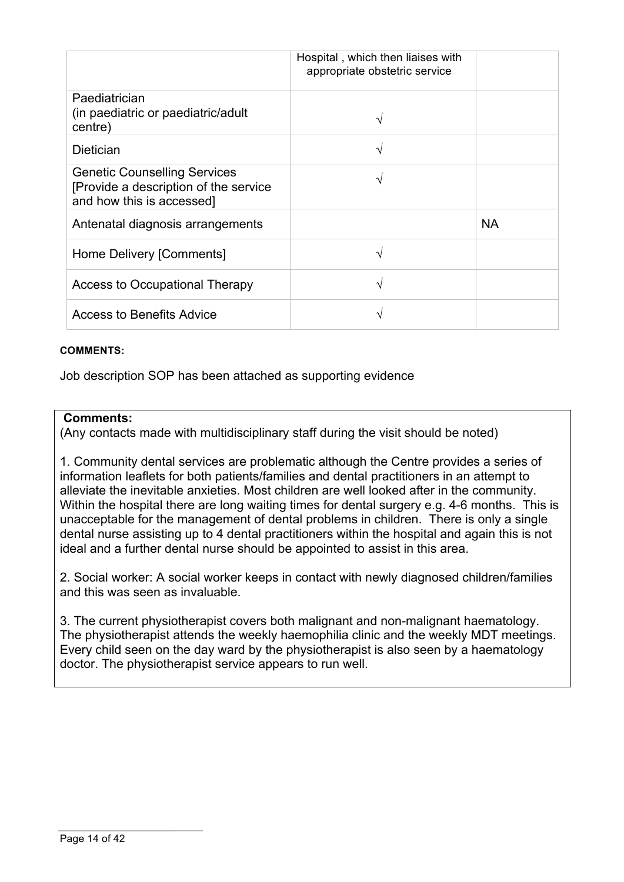|                                                                                                            | Hospital, which then liaises with<br>appropriate obstetric service |           |
|------------------------------------------------------------------------------------------------------------|--------------------------------------------------------------------|-----------|
| Paediatrician<br>(in paediatric or paediatric/adult<br>centre)                                             |                                                                    |           |
| <b>Dietician</b>                                                                                           | اد                                                                 |           |
| <b>Genetic Counselling Services</b><br>[Provide a description of the service]<br>and how this is accessed] | ٦                                                                  |           |
| Antenatal diagnosis arrangements                                                                           |                                                                    | <b>NA</b> |
| Home Delivery [Comments]                                                                                   |                                                                    |           |
| Access to Occupational Therapy                                                                             |                                                                    |           |
| <b>Access to Benefits Advice</b>                                                                           |                                                                    |           |

#### **COMMENTS:**

Job description SOP has been attached as supporting evidence

#### **Comments:**

(Any contacts made with multidisciplinary staff during the visit should be noted)

1. Community dental services are problematic although the Centre provides a series of information leaflets for both patients/families and dental practitioners in an attempt to alleviate the inevitable anxieties. Most children are well looked after in the community. Within the hospital there are long waiting times for dental surgery e.g. 4-6 months. This is unacceptable for the management of dental problems in children. There is only a single dental nurse assisting up to 4 dental practitioners within the hospital and again this is not ideal and a further dental nurse should be appointed to assist in this area.

2. Social worker: A social worker keeps in contact with newly diagnosed children/families and this was seen as invaluable.

3. The current physiotherapist covers both malignant and non-malignant haematology. The physiotherapist attends the weekly haemophilia clinic and the weekly MDT meetings. Every child seen on the day ward by the physiotherapist is also seen by a haematology doctor. The physiotherapist service appears to run well.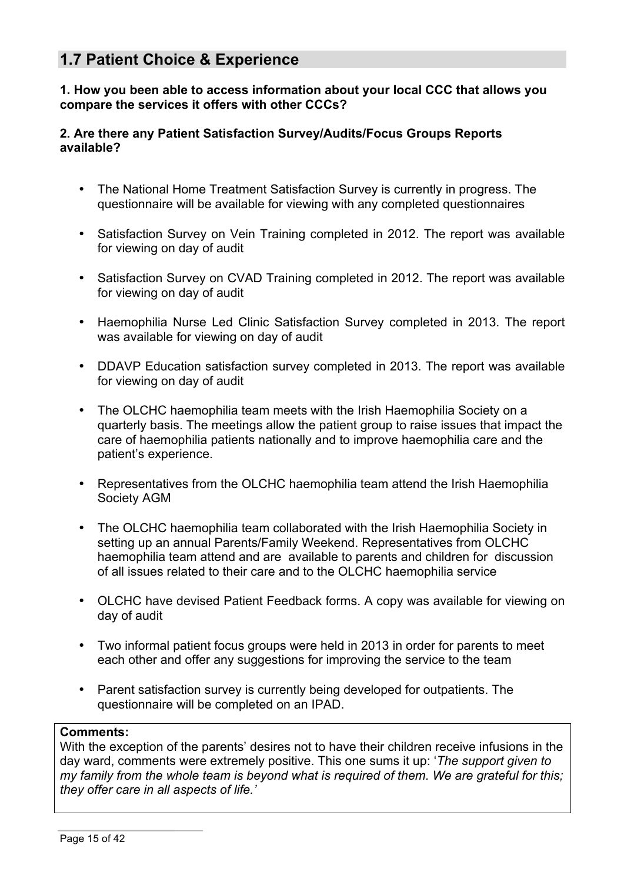## **1.7 Patient Choice & Experience**

**1. How you been able to access information about your local CCC that allows you compare the services it offers with other CCCs?**

#### **2. Are there any Patient Satisfaction Survey/Audits/Focus Groups Reports available?**

- The National Home Treatment Satisfaction Survey is currently in progress. The questionnaire will be available for viewing with any completed questionnaires
- Satisfaction Survey on Vein Training completed in 2012. The report was available for viewing on day of audit
- Satisfaction Survey on CVAD Training completed in 2012. The report was available for viewing on day of audit
- Haemophilia Nurse Led Clinic Satisfaction Survey completed in 2013. The report was available for viewing on day of audit
- DDAVP Education satisfaction survey completed in 2013. The report was available for viewing on day of audit
- The OLCHC haemophilia team meets with the Irish Haemophilia Society on a quarterly basis. The meetings allow the patient group to raise issues that impact the care of haemophilia patients nationally and to improve haemophilia care and the patient's experience.
- Representatives from the OLCHC haemophilia team attend the Irish Haemophilia Society AGM
- The OLCHC haemophilia team collaborated with the Irish Haemophilia Society in setting up an annual Parents/Family Weekend. Representatives from OLCHC haemophilia team attend and are available to parents and children for discussion of all issues related to their care and to the OLCHC haemophilia service
- OLCHC have devised Patient Feedback forms. A copy was available for viewing on day of audit
- Two informal patient focus groups were held in 2013 in order for parents to meet each other and offer any suggestions for improving the service to the team
- Parent satisfaction survey is currently being developed for outpatients. The questionnaire will be completed on an IPAD.

#### **Comments:**

With the exception of the parents' desires not to have their children receive infusions in the day ward, comments were extremely positive. This one sums it up: '*The support given to my family from the whole team is beyond what is required of them. We are grateful for this; they offer care in all aspects of life.'*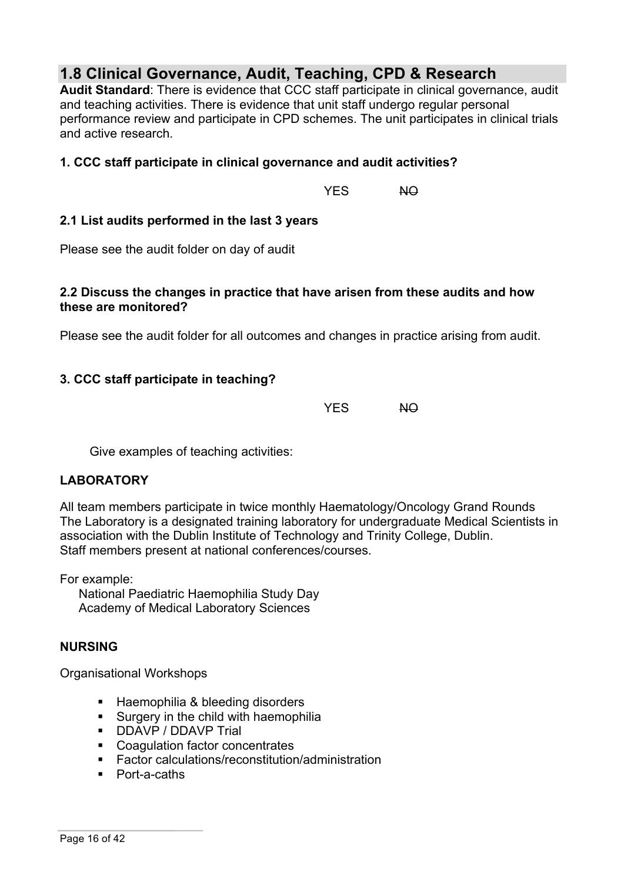# **1.8 Clinical Governance, Audit, Teaching, CPD & Research**

**Audit Standard**: There is evidence that CCC staff participate in clinical governance, audit and teaching activities. There is evidence that unit staff undergo regular personal performance review and participate in CPD schemes. The unit participates in clinical trials and active research.

## **1. CCC staff participate in clinical governance and audit activities?**

YES NO

### **2.1 List audits performed in the last 3 years**

Please see the audit folder on day of audit

#### **2.2 Discuss the changes in practice that have arisen from these audits and how these are monitored?**

Please see the audit folder for all outcomes and changes in practice arising from audit.

## **3. CCC staff participate in teaching?**

YES NO

Give examples of teaching activities:

#### **LABORATORY**

All team members participate in twice monthly Haematology/Oncology Grand Rounds The Laboratory is a designated training laboratory for undergraduate Medical Scientists in association with the Dublin Institute of Technology and Trinity College, Dublin. Staff members present at national conferences/courses.

For example:

National Paediatric Haemophilia Study Day Academy of Medical Laboratory Sciences

#### **NURSING**

Organisational Workshops

- Haemophilia & bleeding disorders
- § Surgery in the child with haemophilia
- DDAVP / DDAVP Trial
- Coagulation factor concentrates
- Factor calculations/reconstitution/administration
- Port-a-caths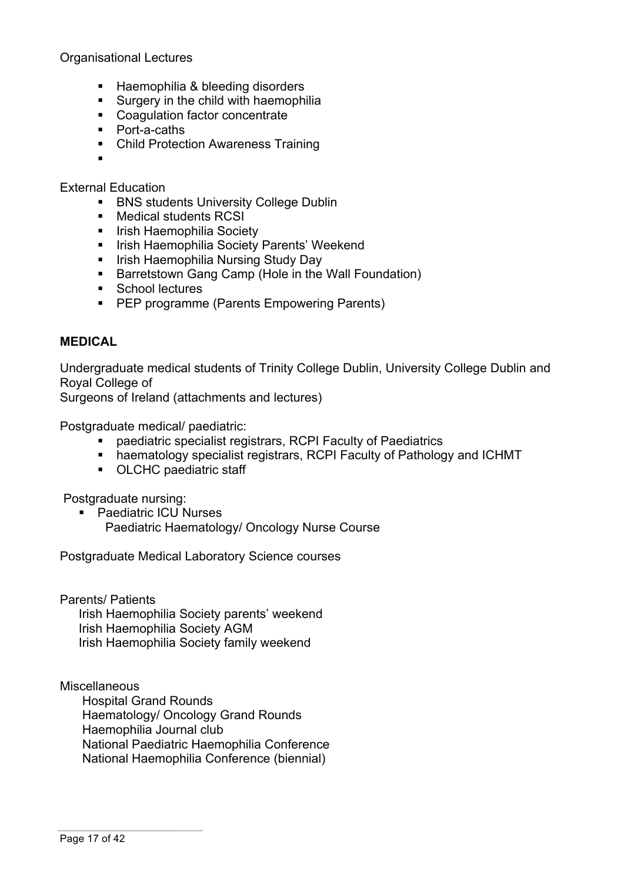Organisational Lectures

- § Haemophilia & bleeding disorders
- Surgery in the child with haemophilia
- Coagulation factor concentrate
- Port-a-caths
- Child Protection Awareness Training
- §

External Education

- BNS students University College Dublin
- Medical students RCSI
- Irish Haemophilia Society
- Irish Haemophilia Society Parents' Weekend
- Irish Haemophilia Nursing Study Day
- Barretstown Gang Camp (Hole in the Wall Foundation)
- School lectures
- PEP programme (Parents Empowering Parents)

#### **MEDICAL**

Undergraduate medical students of Trinity College Dublin, University College Dublin and Royal College of

Surgeons of Ireland (attachments and lectures)

Postgraduate medical/ paediatric:

- paediatric specialist registrars, RCPI Faculty of Paediatrics
- haematology specialist registrars, RCPI Faculty of Pathology and ICHMT
- OLCHC paediatric staff

Postgraduate nursing:

- Paediatric ICU Nurses
	- Paediatric Haematology/ Oncology Nurse Course

Postgraduate Medical Laboratory Science courses

Parents/ Patients

Irish Haemophilia Society parents' weekend Irish Haemophilia Society AGM Irish Haemophilia Society family weekend

**Miscellaneous** Hospital Grand Rounds Haematology/ Oncology Grand Rounds Haemophilia Journal club National Paediatric Haemophilia Conference National Haemophilia Conference (biennial)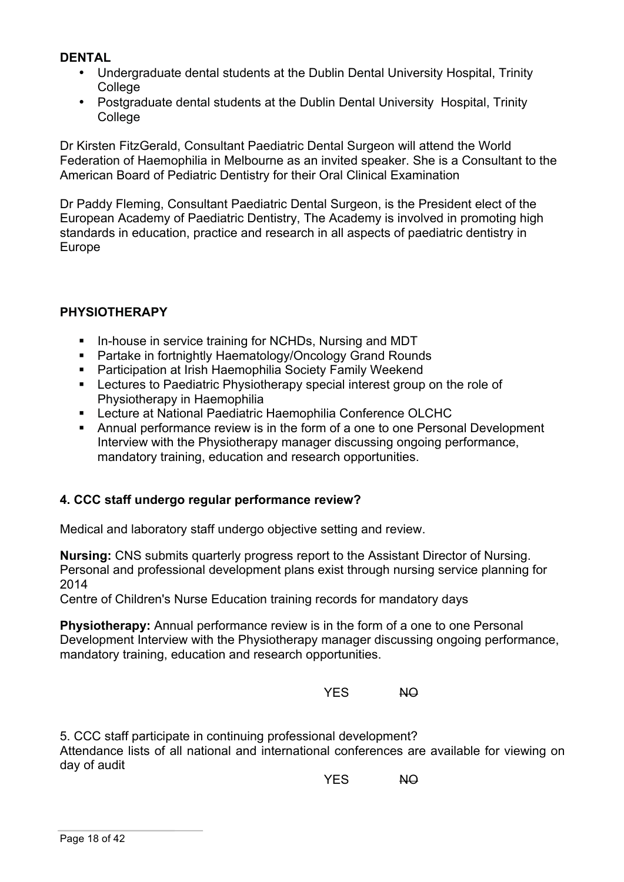### **DENTAL**

- Undergraduate dental students at the Dublin Dental University Hospital, Trinity **College**
- Postgraduate dental students at the Dublin Dental University Hospital, Trinity College

Dr Kirsten FitzGerald, Consultant Paediatric Dental Surgeon will attend the World Federation of Haemophilia in Melbourne as an invited speaker. She is a Consultant to the American Board of Pediatric Dentistry for their Oral Clinical Examination

Dr Paddy Fleming, Consultant Paediatric Dental Surgeon, is the President elect of the European Academy of Paediatric Dentistry, The Academy is involved in promoting high standards in education, practice and research in all aspects of paediatric dentistry in Europe

## **PHYSIOTHERAPY**

- **In-house in service training for NCHDs, Nursing and MDT**
- Partake in fortnightly Haematology/Oncology Grand Rounds
- Participation at Irish Haemophilia Society Family Weekend
- Lectures to Paediatric Physiotherapy special interest group on the role of Physiotherapy in Haemophilia
- Lecture at National Paediatric Haemophilia Conference OLCHC
- Annual performance review is in the form of a one to one Personal Development Interview with the Physiotherapy manager discussing ongoing performance, mandatory training, education and research opportunities.

## **4. CCC staff undergo regular performance review?**

Medical and laboratory staff undergo objective setting and review.

**Nursing:** CNS submits quarterly progress report to the Assistant Director of Nursing. Personal and professional development plans exist through nursing service planning for 2014

Centre of Children's Nurse Education training records for mandatory days

**Physiotherapy:** Annual performance review is in the form of a one to one Personal Development Interview with the Physiotherapy manager discussing ongoing performance, mandatory training, education and research opportunities.

YES NO

5. CCC staff participate in continuing professional development? Attendance lists of all national and international conferences are available for viewing on day of audit

YES NO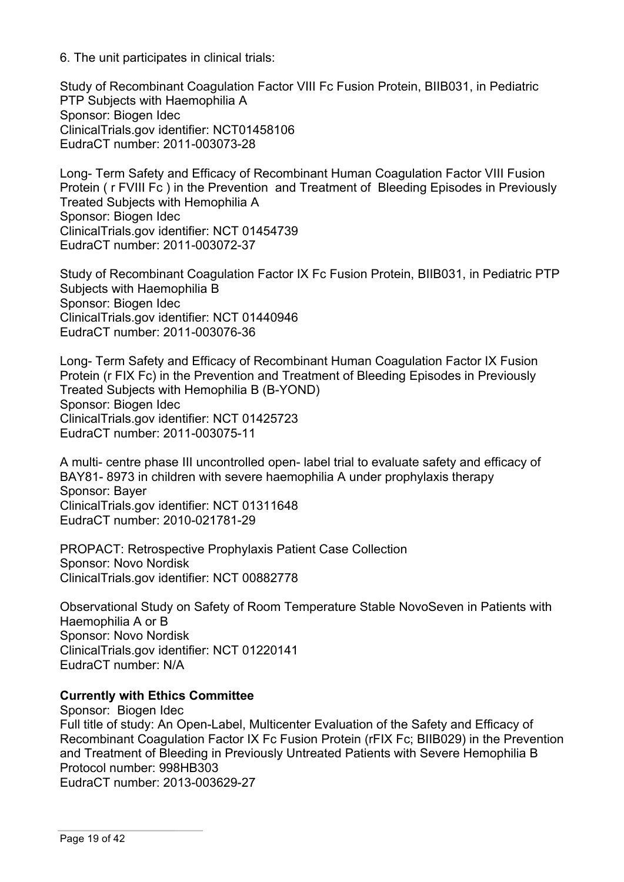6. The unit participates in clinical trials:

Study of Recombinant Coagulation Factor VIII Fc Fusion Protein, BIIB031, in Pediatric PTP Subjects with Haemophilia A Sponsor: Biogen Idec ClinicalTrials.gov identifier: NCT01458106 EudraCT number: 2011-003073-28

Long- Term Safety and Efficacy of Recombinant Human Coagulation Factor VIII Fusion Protein ( r FVIII Fc ) in the Prevention and Treatment of Bleeding Episodes in Previously Treated Subjects with Hemophilia A Sponsor: Biogen Idec ClinicalTrials.gov identifier: NCT 01454739 EudraCT number: 2011-003072-37

Study of Recombinant Coagulation Factor IX Fc Fusion Protein, BIIB031, in Pediatric PTP Subjects with Haemophilia B Sponsor: Biogen Idec ClinicalTrials.gov identifier: NCT 01440946 EudraCT number: 2011-003076-36

Long- Term Safety and Efficacy of Recombinant Human Coagulation Factor IX Fusion Protein (r FIX Fc) in the Prevention and Treatment of Bleeding Episodes in Previously Treated Subjects with Hemophilia B (B-YOND) Sponsor: Biogen Idec ClinicalTrials.gov identifier: NCT 01425723 EudraCT number: 2011-003075-11

A multi- centre phase III uncontrolled open- label trial to evaluate safety and efficacy of BAY81- 8973 in children with severe haemophilia A under prophylaxis therapy Sponsor: Bayer ClinicalTrials.gov identifier: NCT 01311648 EudraCT number: 2010-021781-29

PROPACT: Retrospective Prophylaxis Patient Case Collection Sponsor: Novo Nordisk ClinicalTrials.gov identifier: NCT 00882778

Observational Study on Safety of Room Temperature Stable NovoSeven in Patients with Haemophilia A or B Sponsor: Novo Nordisk ClinicalTrials.gov identifier: NCT 01220141 EudraCT number: N/A

## **Currently with Ethics Committee**

Sponsor: Biogen Idec Full title of study: An Open-Label, Multicenter Evaluation of the Safety and Efficacy of Recombinant Coagulation Factor IX Fc Fusion Protein (rFIX Fc; BIIB029) in the Prevention and Treatment of Bleeding in Previously Untreated Patients with Severe Hemophilia B Protocol number: 998HB303 EudraCT number: 2013-003629-27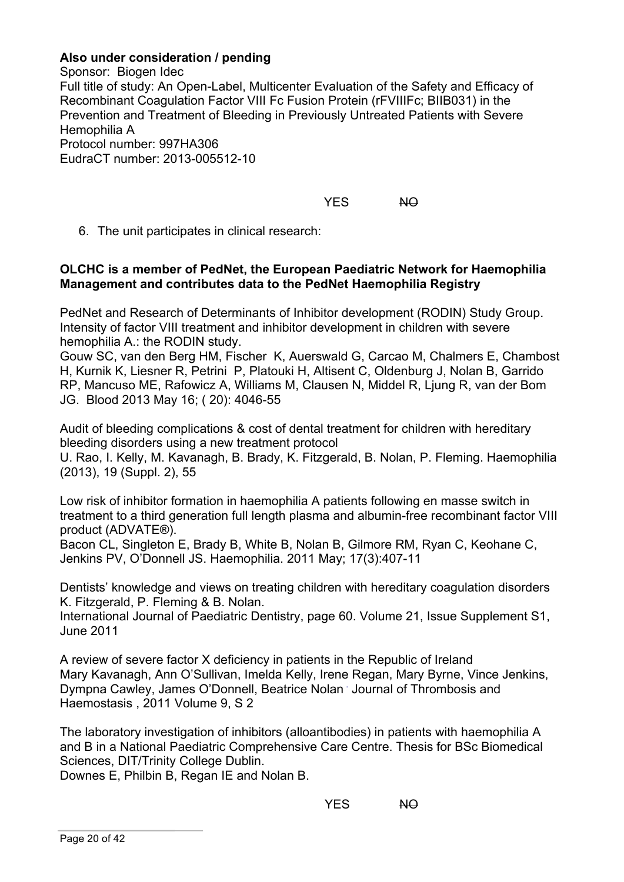### **Also under consideration / pending**

Sponsor: Biogen Idec Full title of study: An Open-Label, Multicenter Evaluation of the Safety and Efficacy of Recombinant Coagulation Factor VIII Fc Fusion Protein (rFVIIIFc; BIIB031) in the Prevention and Treatment of Bleeding in Previously Untreated Patients with Severe Hemophilia A Protocol number: 997HA306 EudraCT number: 2013-005512-10

YES NO

6. The unit participates in clinical research:

#### **OLCHC is a member of PedNet, the European Paediatric Network for Haemophilia Management and contributes data to the PedNet Haemophilia Registry**

PedNet and Research of Determinants of Inhibitor development (RODIN) Study Group. Intensity of factor VIII treatment and inhibitor development in children with severe hemophilia A.: the RODIN study.

Gouw SC, van den Berg HM, Fischer K, Auerswald G, Carcao M, Chalmers E, Chambost H, Kurnik K, Liesner R, Petrini P, Platouki H, Altisent C, Oldenburg J, Nolan B, Garrido RP, Mancuso ME, Rafowicz A, Williams M, Clausen N, Middel R, Ljung R, van der Bom JG. Blood 2013 May 16; ( 20): 4046-55

Audit of bleeding complications & cost of dental treatment for children with hereditary bleeding disorders using a new treatment protocol

U. Rao, I. Kelly, M. Kavanagh, B. Brady, K. Fitzgerald, B. Nolan, P. Fleming. Haemophilia (2013), 19 (Suppl. 2), 55

Low risk of inhibitor formation in haemophilia A patients following en masse switch in treatment to a third generation full length plasma and albumin-free recombinant factor VIII product (ADVATE®).

Bacon CL, Singleton E, Brady B, White B, Nolan B, Gilmore RM, Ryan C, Keohane C, Jenkins PV, O'Donnell JS. Haemophilia. 2011 May; 17(3):407-11

Dentists' knowledge and views on treating children with hereditary coagulation disorders K. Fitzgerald, P. Fleming & B. Nolan.

International Journal of Paediatric Dentistry, page 60. Volume 21, Issue Supplement S1, June 2011

A review of severe factor X deficiency in patients in the Republic of Ireland Mary Kavanagh, Ann O'Sullivan, Imelda Kelly, Irene Regan, Mary Byrne, Vince Jenkins, Dympna Cawley, James O'Donnell, Beatrice Nolan . Journal of Thrombosis and Haemostasis , 2011 Volume 9, S 2

The laboratory investigation of inhibitors (alloantibodies) in patients with haemophilia A and B in a National Paediatric Comprehensive Care Centre. Thesis for BSc Biomedical Sciences, DIT/Trinity College Dublin.

Downes E, Philbin B, Regan IE and Nolan B.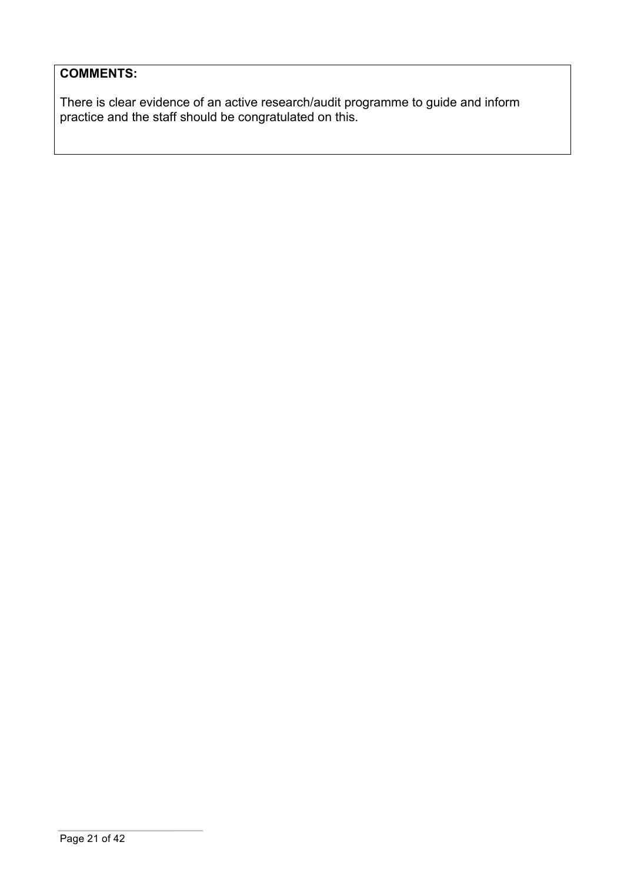## **COMMENTS:**

There is clear evidence of an active research/audit programme to guide and inform practice and the staff should be congratulated on this.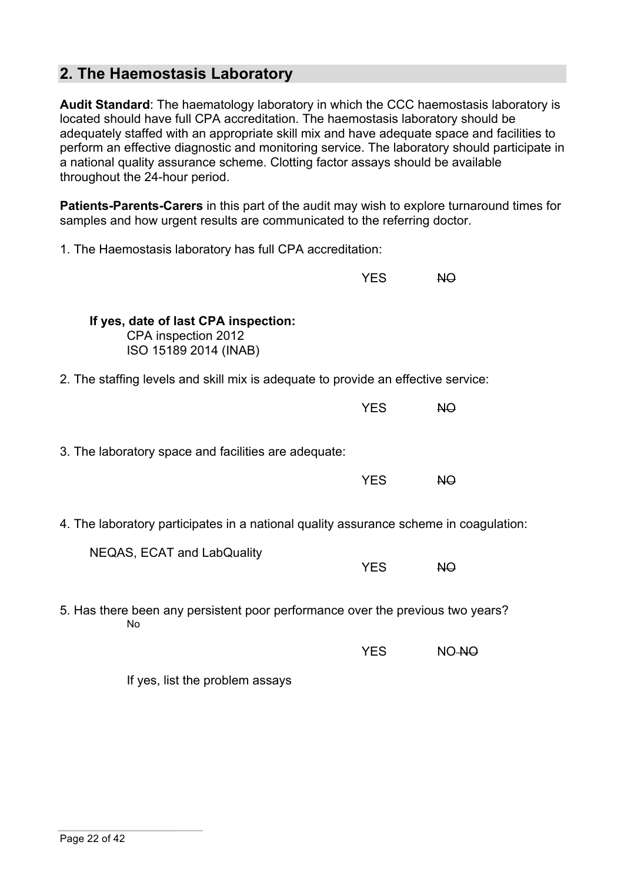## **2. The Haemostasis Laboratory**

**Audit Standard**: The haematology laboratory in which the CCC haemostasis laboratory is located should have full CPA accreditation. The haemostasis laboratory should be adequately staffed with an appropriate skill mix and have adequate space and facilities to perform an effective diagnostic and monitoring service. The laboratory should participate in a national quality assurance scheme. Clotting factor assays should be available throughout the 24-hour period.

**Patients-Parents-Carers** in this part of the audit may wish to explore turnaround times for samples and how urgent results are communicated to the referring doctor.

1. The Haemostasis laboratory has full CPA accreditation:

|                                                                                       | <b>YES</b> | NO             |
|---------------------------------------------------------------------------------------|------------|----------------|
| If yes, date of last CPA inspection:<br>CPA inspection 2012<br>ISO 15189 2014 (INAB)  |            |                |
| 2. The staffing levels and skill mix is adequate to provide an effective service:     |            |                |
|                                                                                       | <b>YES</b> | N <sub>O</sub> |
| 3. The laboratory space and facilities are adequate:                                  | <b>YES</b> | <b>NO</b>      |
| 4. The laboratory participates in a national quality assurance scheme in coagulation: |            |                |
| NEQAS, ECAT and LabQuality                                                            | <b>YES</b> | <b>NO</b>      |
| 5. Has there been any persistent poor performance over the previous two years?<br>No  |            |                |
|                                                                                       | <b>YES</b> | NO-NO          |
|                                                                                       |            |                |

If yes, list the problem assays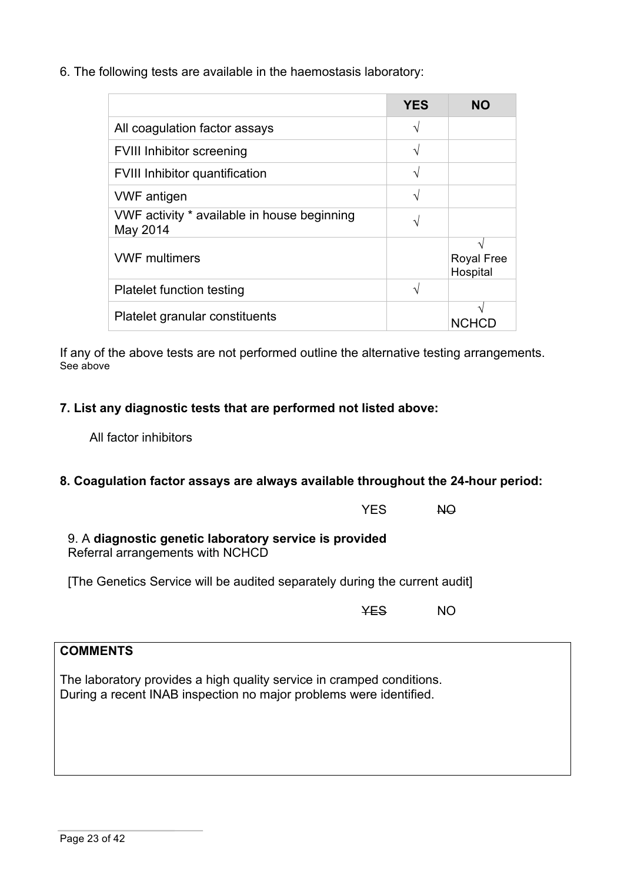6. The following tests are available in the haemostasis laboratory:

|                                                         | YES | NΟ                            |
|---------------------------------------------------------|-----|-------------------------------|
| All coagulation factor assays                           | ٦   |                               |
| <b>FVIII Inhibitor screening</b>                        | V   |                               |
| <b>FVIII Inhibitor quantification</b>                   | ٦   |                               |
| <b>VWF</b> antigen                                      | ٦   |                               |
| VWF activity * available in house beginning<br>May 2014 |     |                               |
| <b>VWF multimers</b>                                    |     | <b>Royal Free</b><br>Hospital |
| <b>Platelet function testing</b>                        | ٦   |                               |
| Platelet granular constituents                          |     | <b>NCHCL</b>                  |

If any of the above tests are not performed outline the alternative testing arrangements. See above

## **7. List any diagnostic tests that are performed not listed above:**

All factor inhibitors

## **8. Coagulation factor assays are always available throughout the 24-hour period:**

|                                                                                            | <b>YFS</b> | NO. |
|--------------------------------------------------------------------------------------------|------------|-----|
| 9. A diagnostic genetic laboratory service is provided<br>Referral arrangements with NCHCD |            |     |

[The Genetics Service will be audited separately during the current audit]

YES NO

## **COMMENTS**

The laboratory provides a high quality service in cramped conditions. During a recent INAB inspection no major problems were identified.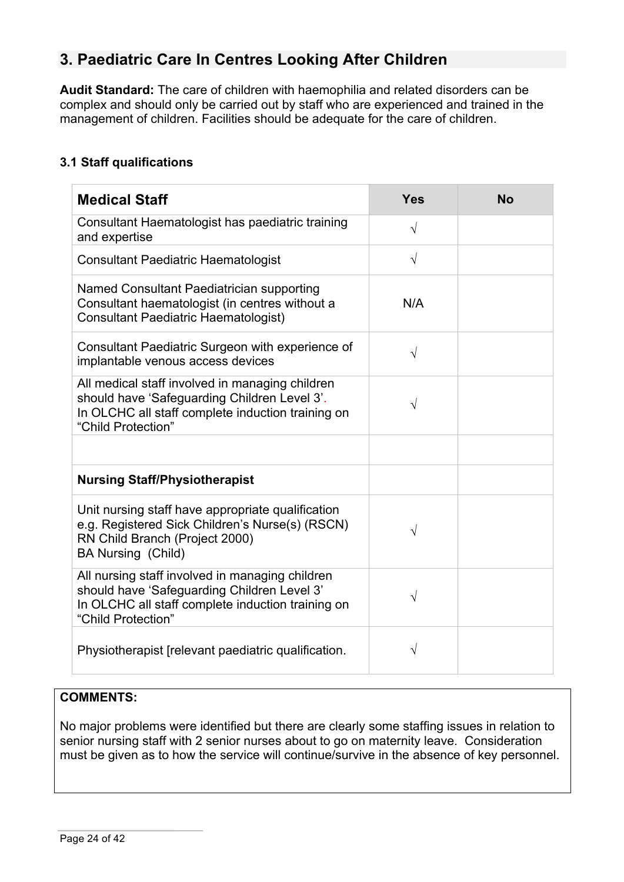# **3. Paediatric Care In Centres Looking After Children**

**Audit Standard:** The care of children with haemophilia and related disorders can be complex and should only be carried out by staff who are experienced and trained in the management of children. Facilities should be adequate for the care of children.

## **3.1 Staff qualifications**

| <b>Medical Staff</b>                                                                                                                                                       | <b>Yes</b> | <b>No</b> |
|----------------------------------------------------------------------------------------------------------------------------------------------------------------------------|------------|-----------|
| Consultant Haematologist has paediatric training<br>and expertise                                                                                                          | $\sqrt{}$  |           |
| <b>Consultant Paediatric Haematologist</b>                                                                                                                                 | $\sqrt{}$  |           |
| Named Consultant Paediatrician supporting<br>Consultant haematologist (in centres without a<br><b>Consultant Paediatric Haematologist)</b>                                 | N/A        |           |
| Consultant Paediatric Surgeon with experience of<br>implantable venous access devices                                                                                      | $\sqrt{}$  |           |
| All medical staff involved in managing children<br>should have 'Safeguarding Children Level 3'.<br>In OLCHC all staff complete induction training on<br>"Child Protection" | V          |           |
|                                                                                                                                                                            |            |           |
| <b>Nursing Staff/Physiotherapist</b>                                                                                                                                       |            |           |
| Unit nursing staff have appropriate qualification<br>e.g. Registered Sick Children's Nurse(s) (RSCN)<br>RN Child Branch (Project 2000)<br>BA Nursing (Child)               |            |           |
| All nursing staff involved in managing children<br>should have 'Safeguarding Children Level 3'<br>In OLCHC all staff complete induction training on<br>"Child Protection"  |            |           |
| Physiotherapist (relevant paediatric qualification.                                                                                                                        | V          |           |

#### **COMMENTS:**

No major problems were identified but there are clearly some staffing issues in relation to senior nursing staff with 2 senior nurses about to go on maternity leave. Consideration must be given as to how the service will continue/survive in the absence of key personnel.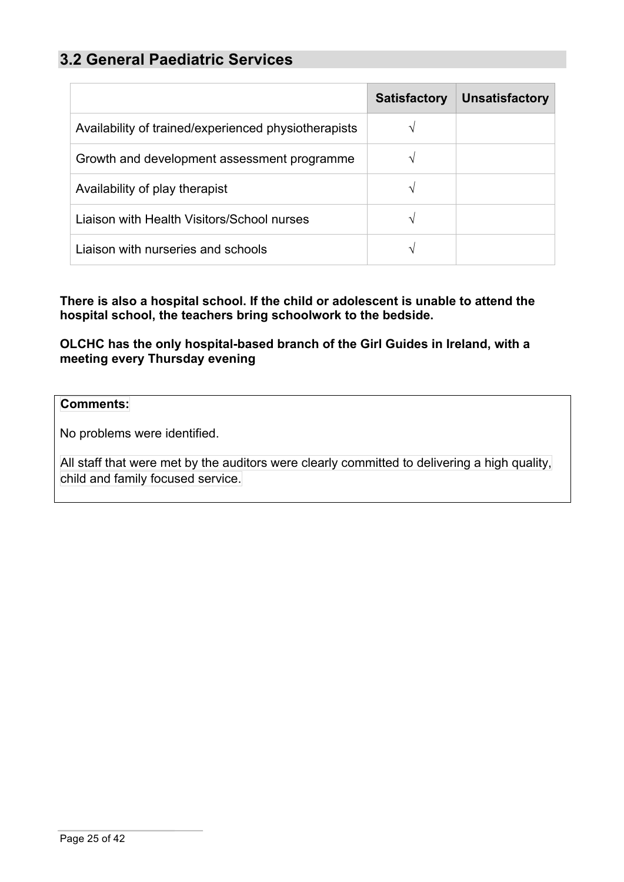## **3.2 General Paediatric Services**

|                                                      | <b>Satisfactory</b> | <b>Unsatisfactory</b> |
|------------------------------------------------------|---------------------|-----------------------|
| Availability of trained/experienced physiotherapists |                     |                       |
| Growth and development assessment programme          |                     |                       |
| Availability of play therapist                       | V                   |                       |
| Liaison with Health Visitors/School nurses           | ٦Ι                  |                       |
| Liaison with nurseries and schools                   |                     |                       |

**There is also a hospital school. If the child or adolescent is unable to attend the hospital school, the teachers bring schoolwork to the bedside.**

**OLCHC has the only hospital-based branch of the Girl Guides in Ireland, with a meeting every Thursday evening**

#### **Comments:**

No problems were identified.

All staff that were met by the auditors were clearly committed to delivering a high quality, child and family focused service.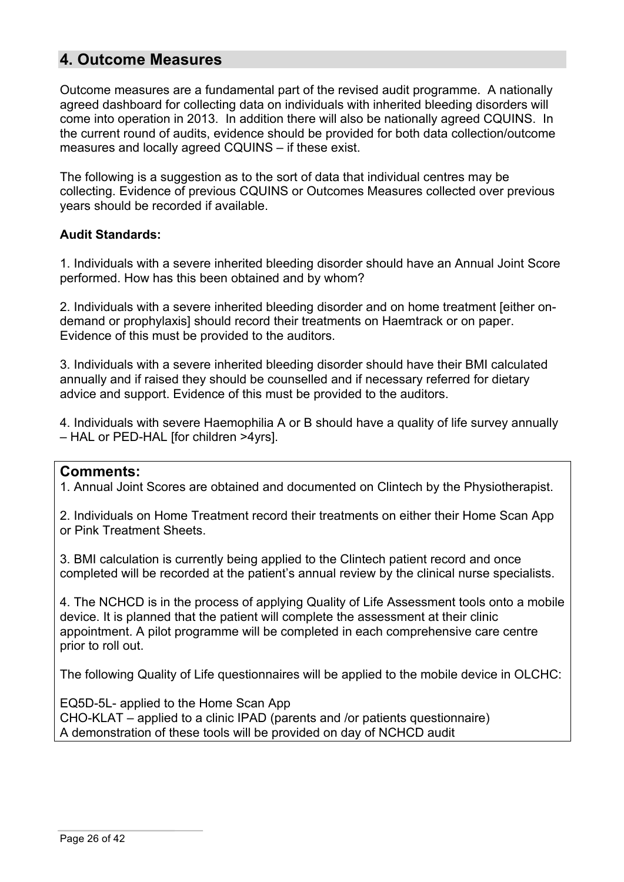## **4. Outcome Measures**

Outcome measures are a fundamental part of the revised audit programme. A nationally agreed dashboard for collecting data on individuals with inherited bleeding disorders will come into operation in 2013. In addition there will also be nationally agreed CQUINS. In the current round of audits, evidence should be provided for both data collection/outcome measures and locally agreed CQUINS – if these exist.

The following is a suggestion as to the sort of data that individual centres may be collecting. Evidence of previous CQUINS or Outcomes Measures collected over previous years should be recorded if available.

#### **Audit Standards:**

1. Individuals with a severe inherited bleeding disorder should have an Annual Joint Score performed. How has this been obtained and by whom?

2. Individuals with a severe inherited bleeding disorder and on home treatment [either ondemand or prophylaxis] should record their treatments on Haemtrack or on paper. Evidence of this must be provided to the auditors.

3. Individuals with a severe inherited bleeding disorder should have their BMI calculated annually and if raised they should be counselled and if necessary referred for dietary advice and support. Evidence of this must be provided to the auditors.

4. Individuals with severe Haemophilia A or B should have a quality of life survey annually – HAL or PED-HAL [for children >4yrs].

## **Comments:**

1. Annual Joint Scores are obtained and documented on Clintech by the Physiotherapist.

2. Individuals on Home Treatment record their treatments on either their Home Scan App or Pink Treatment Sheets.

3. BMI calculation is currently being applied to the Clintech patient record and once completed will be recorded at the patient's annual review by the clinical nurse specialists.

4. The NCHCD is in the process of applying Quality of Life Assessment tools onto a mobile device. It is planned that the patient will complete the assessment at their clinic appointment. A pilot programme will be completed in each comprehensive care centre prior to roll out.

The following Quality of Life questionnaires will be applied to the mobile device in OLCHC:

EQ5D-5L- applied to the Home Scan App CHO-KLAT – applied to a clinic IPAD (parents and /or patients questionnaire) A demonstration of these tools will be provided on day of NCHCD audit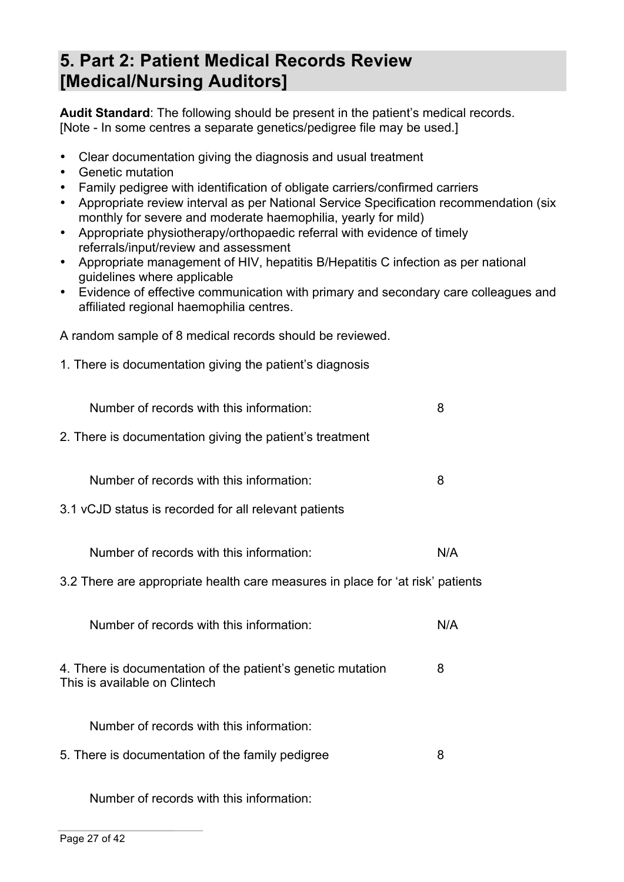# **5. Part 2: Patient Medical Records Review [Medical/Nursing Auditors]**

**Audit Standard**: The following should be present in the patient's medical records. [Note - In some centres a separate genetics/pedigree file may be used.]

- Clear documentation giving the diagnosis and usual treatment
- Genetic mutation
- Family pedigree with identification of obligate carriers/confirmed carriers
- Appropriate review interval as per National Service Specification recommendation (six monthly for severe and moderate haemophilia, yearly for mild)
- Appropriate physiotherapy/orthopaedic referral with evidence of timely referrals/input/review and assessment
- Appropriate management of HIV, hepatitis B/Hepatitis C infection as per national guidelines where applicable
- Evidence of effective communication with primary and secondary care colleagues and affiliated regional haemophilia centres.

A random sample of 8 medical records should be reviewed.

1. There is documentation giving the patient's diagnosis

| Number of records with this information:                                                          | 8   |
|---------------------------------------------------------------------------------------------------|-----|
| 2. There is documentation giving the patient's treatment                                          |     |
| Number of records with this information:<br>3.1 vCJD status is recorded for all relevant patients | 8   |
| Number of records with this information:                                                          | N/A |
| 3.2 There are appropriate health care measures in place for 'at risk' patients                    |     |
| Number of records with this information:                                                          | N/A |
| 4. There is documentation of the patient's genetic mutation<br>This is available on Clintech      | 8   |
| Number of records with this information:                                                          |     |
| 5. There is documentation of the family pedigree                                                  | 8   |
|                                                                                                   |     |

Number of records with this information: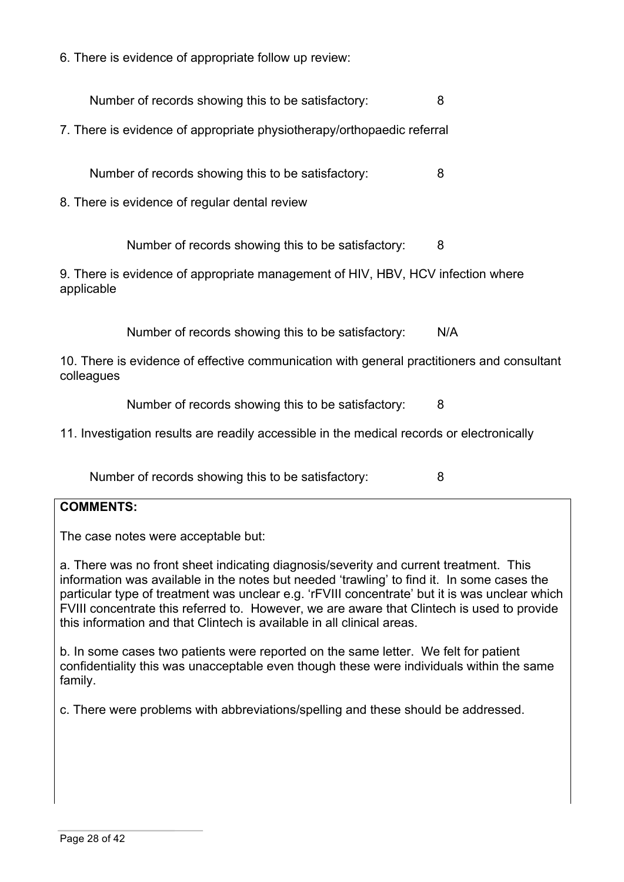6. There is evidence of appropriate follow up review:

Number of records showing this to be satisfactory: 8

7. There is evidence of appropriate physiotherapy/orthopaedic referral

Number of records showing this to be satisfactory: 8

8. There is evidence of regular dental review

Number of records showing this to be satisfactory: 8

9. There is evidence of appropriate management of HIV, HBV, HCV infection where applicable

Number of records showing this to be satisfactory: N/A

10. There is evidence of effective communication with general practitioners and consultant colleagues

Number of records showing this to be satisfactory: 8

11. Investigation results are readily accessible in the medical records or electronically

Number of records showing this to be satisfactory: 8

#### **COMMENTS:**

The case notes were acceptable but:

a. There was no front sheet indicating diagnosis/severity and current treatment. This information was available in the notes but needed 'trawling' to find it. In some cases the particular type of treatment was unclear e.g. 'rFVIII concentrate' but it is was unclear which FVIII concentrate this referred to. However, we are aware that Clintech is used to provide this information and that Clintech is available in all clinical areas.

b. In some cases two patients were reported on the same letter. We felt for patient confidentiality this was unacceptable even though these were individuals within the same family.

c. There were problems with abbreviations/spelling and these should be addressed.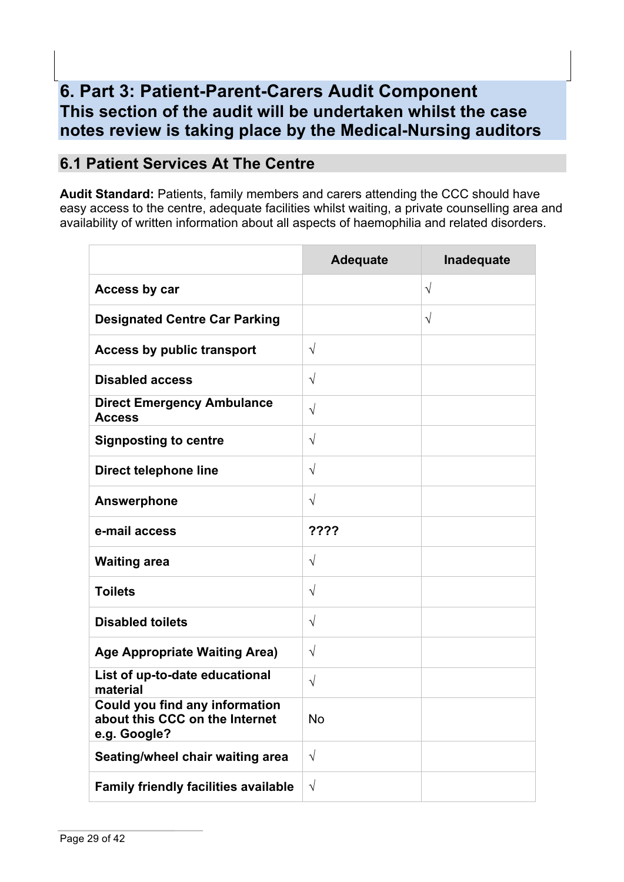# **6. Part 3: Patient-Parent-Carers Audit Component This section of the audit will be undertaken whilst the case notes review is taking place by the Medical-Nursing auditors**

# **6.1 Patient Services At The Centre**

**Audit Standard:** Patients, family members and carers attending the CCC should have easy access to the centre, adequate facilities whilst waiting, a private counselling area and availability of written information about all aspects of haemophilia and related disorders.

|                                                                                  | <b>Adequate</b> | Inadequate |
|----------------------------------------------------------------------------------|-----------------|------------|
| Access by car                                                                    |                 | $\sqrt{ }$ |
| <b>Designated Centre Car Parking</b>                                             |                 | $\sqrt{ }$ |
| <b>Access by public transport</b>                                                | $\sqrt{}$       |            |
| <b>Disabled access</b>                                                           | $\sqrt{}$       |            |
| <b>Direct Emergency Ambulance</b><br><b>Access</b>                               | $\sqrt{}$       |            |
| <b>Signposting to centre</b>                                                     | $\sqrt{}$       |            |
| <b>Direct telephone line</b>                                                     | $\sqrt{}$       |            |
| <b>Answerphone</b>                                                               | $\sqrt{}$       |            |
| e-mail access                                                                    | ????            |            |
| <b>Waiting area</b>                                                              | $\sqrt{ }$      |            |
| <b>Toilets</b>                                                                   | $\sqrt{}$       |            |
| <b>Disabled toilets</b>                                                          | $\sqrt{}$       |            |
| <b>Age Appropriate Waiting Area)</b>                                             | $\sqrt{}$       |            |
| List of up-to-date educational<br>material                                       | $\sqrt{}$       |            |
| Could you find any information<br>about this CCC on the Internet<br>e.g. Google? | No              |            |
| Seating/wheel chair waiting area                                                 | $\sqrt{ }$      |            |
| <b>Family friendly facilities available</b>                                      | $\sqrt{}$       |            |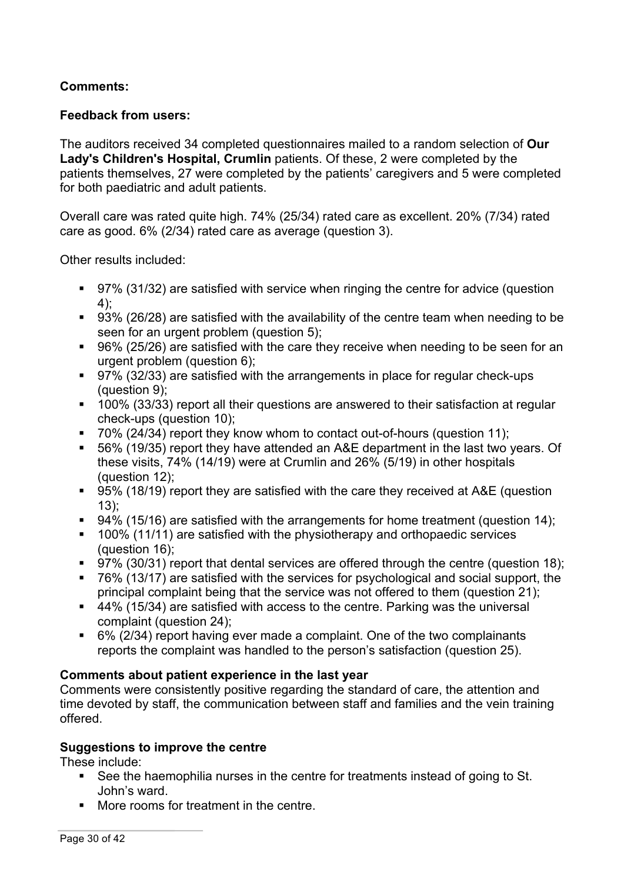## **Comments:**

## **Feedback from users:**

The auditors received 34 completed questionnaires mailed to a random selection of **Our Lady's Children's Hospital, Crumlin** patients. Of these, 2 were completed by the patients themselves, 27 were completed by the patients' caregivers and 5 were completed for both paediatric and adult patients.

Overall care was rated quite high. 74% (25/34) rated care as excellent. 20% (7/34) rated care as good. 6% (2/34) rated care as average (question 3).

Other results included:

- 97% (31/32) are satisfied with service when ringing the centre for advice (question 4);
- 93% (26/28) are satisfied with the availability of the centre team when needing to be seen for an urgent problem (question 5);
- 96% (25/26) are satisfied with the care they receive when needing to be seen for an urgent problem (question 6);
- 97% (32/33) are satisfied with the arrangements in place for regular check-ups (question 9);
- 100% (33/33) report all their questions are answered to their satisfaction at regular check-ups (question 10);
- 70% (24/34) report they know whom to contact out-of-hours (question 11):
- 56% (19/35) report they have attended an A&E department in the last two years. Of these visits, 74% (14/19) were at Crumlin and 26% (5/19) in other hospitals (question 12);
- 95% (18/19) report they are satisfied with the care they received at A&E (question 13);
- 94% (15/16) are satisfied with the arrangements for home treatment (question 14);
- 100% (11/11) are satisfied with the physiotherapy and orthopaedic services (question 16);
- § 97% (30/31) report that dental services are offered through the centre (question 18);
- 76% (13/17) are satisfied with the services for psychological and social support, the principal complaint being that the service was not offered to them (question 21);
- 44% (15/34) are satisfied with access to the centre. Parking was the universal complaint (question 24);
- § 6% (2/34) report having ever made a complaint. One of the two complainants reports the complaint was handled to the person's satisfaction (question 25).

## **Comments about patient experience in the last year**

Comments were consistently positive regarding the standard of care, the attention and time devoted by staff, the communication between staff and families and the vein training offered.

## **Suggestions to improve the centre**

These include:

- See the haemophilia nurses in the centre for treatments instead of going to St. John's ward.
- More rooms for treatment in the centre.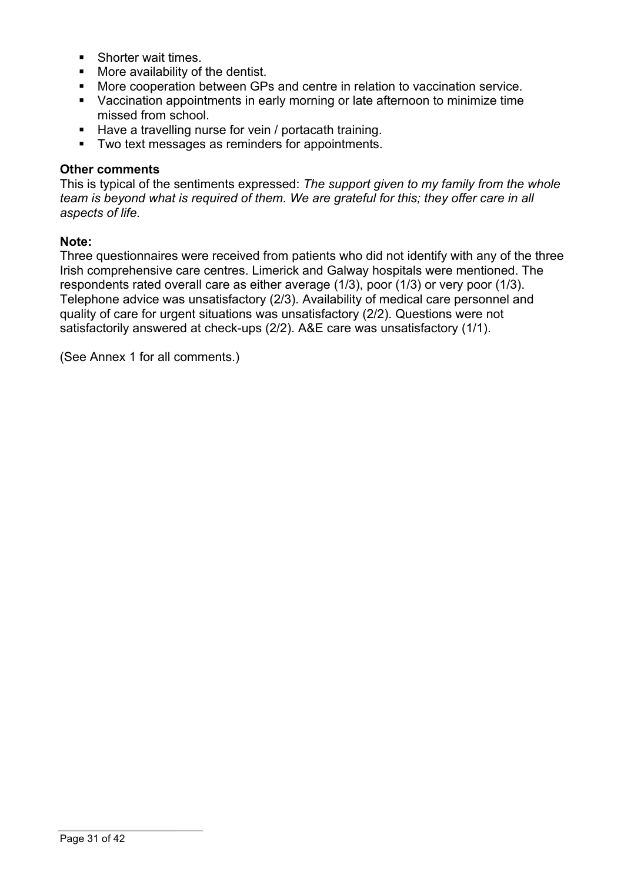- Shorter wait times.
- More availability of the dentist.
- More cooperation between GPs and centre in relation to vaccination service.
- Vaccination appointments in early morning or late afternoon to minimize time missed from school.
- Have a travelling nurse for vein / portacath training.
- Two text messages as reminders for appointments.

#### **Other comments**

This is typical of the sentiments expressed: *The support given to my family from the whole team is beyond what is required of them. We are grateful for this; they offer care in all aspects of life.*

#### **Note:**

Three questionnaires were received from patients who did not identify with any of the three Irish comprehensive care centres. Limerick and Galway hospitals were mentioned. The respondents rated overall care as either average (1/3), poor (1/3) or very poor (1/3). Telephone advice was unsatisfactory (2/3). Availability of medical care personnel and quality of care for urgent situations was unsatisfactory (2/2). Questions were not satisfactorily answered at check-ups (2/2). A&E care was unsatisfactory (1/1).

(See Annex 1 for all comments.)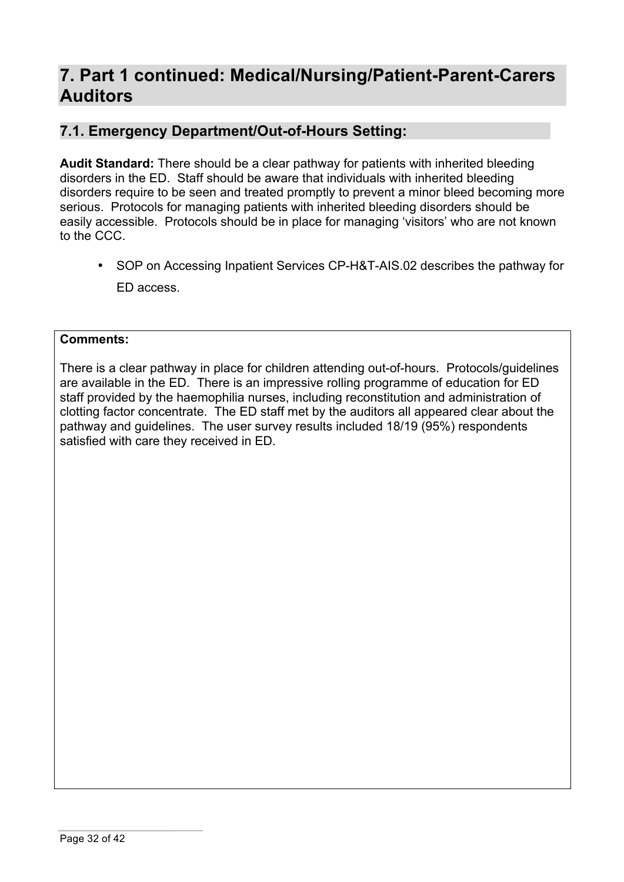# **7. Part 1 continued: Medical/Nursing/Patient-Parent-Carers Auditors**

## **7.1. Emergency Department/Out-of-Hours Setting:**

**Audit Standard:** There should be a clear pathway for patients with inherited bleeding disorders in the ED. Staff should be aware that individuals with inherited bleeding disorders require to be seen and treated promptly to prevent a minor bleed becoming more serious. Protocols for managing patients with inherited bleeding disorders should be easily accessible. Protocols should be in place for managing 'visitors' who are not known to the CCC.

• SOP on Accessing Inpatient Services CP-H&T-AIS.02 describes the pathway for ED access.

#### **Comments:**

There is a clear pathway in place for children attending out-of-hours. Protocols/guidelines are available in the ED. There is an impressive rolling programme of education for ED staff provided by the haemophilia nurses, including reconstitution and administration of clotting factor concentrate. The ED staff met by the auditors all appeared clear about the pathway and guidelines. The user survey results included 18/19 (95%) respondents satisfied with care they received in ED.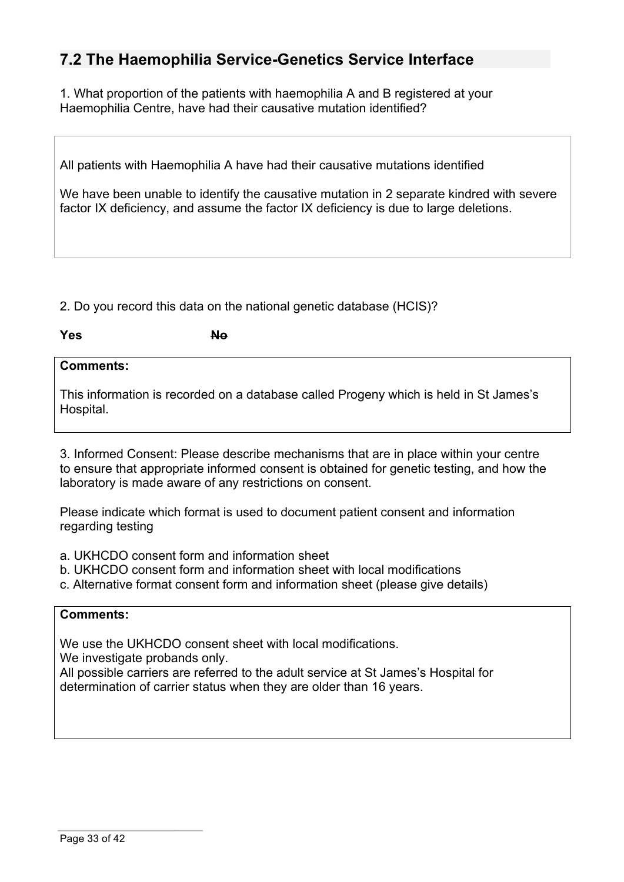## **7.2 The Haemophilia Service-Genetics Service Interface**

1. What proportion of the patients with haemophilia A and B registered at your Haemophilia Centre, have had their causative mutation identified?

All patients with Haemophilia A have had their causative mutations identified

We have been unable to identify the causative mutation in 2 separate kindred with severe factor IX deficiency, and assume the factor IX deficiency is due to large deletions.

2. Do you record this data on the national genetic database (HCIS)?

**Yes** No

## **Comments:**

This information is recorded on a database called Progeny which is held in St James's Hospital.

3. Informed Consent: Please describe mechanisms that are in place within your centre to ensure that appropriate informed consent is obtained for genetic testing, and how the laboratory is made aware of any restrictions on consent.

Please indicate which format is used to document patient consent and information regarding testing

- a. UKHCDO consent form and information sheet
- b. UKHCDO consent form and information sheet with local modifications
- c. Alternative format consent form and information sheet (please give details)

#### **Comments:**

We use the UKHCDO consent sheet with local modifications.

We investigate probands only.

All possible carriers are referred to the adult service at St James's Hospital for determination of carrier status when they are older than 16 years.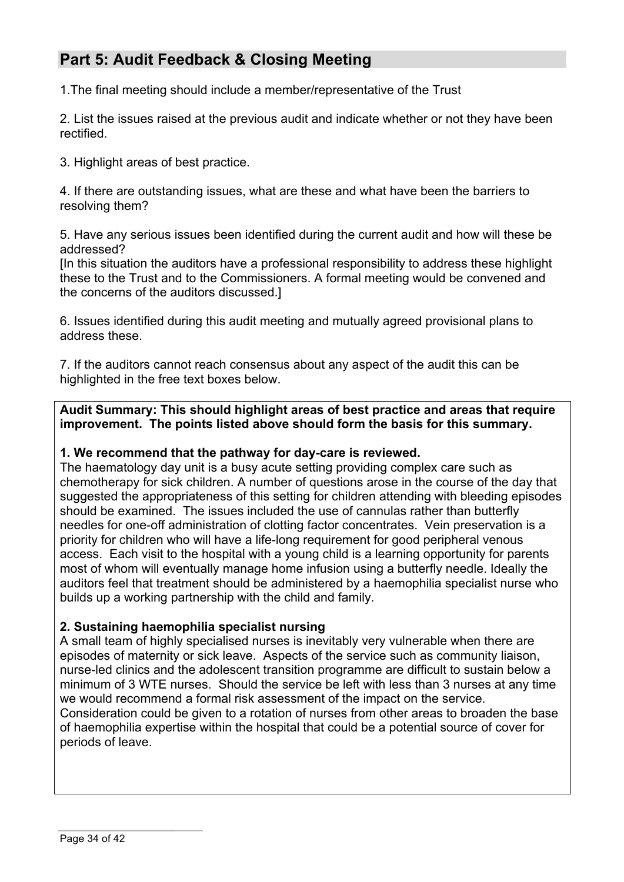# **Part 5: Audit Feedback & Closing Meeting**

1.The final meeting should include a member/representative of the Trust

2. List the issues raised at the previous audit and indicate whether or not they have been rectified.

3. Highlight areas of best practice.

4. If there are outstanding issues, what are these and what have been the barriers to resolving them?

5. Have any serious issues been identified during the current audit and how will these be addressed?

[In this situation the auditors have a professional responsibility to address these highlight these to the Trust and to the Commissioners. A formal meeting would be convened and the concerns of the auditors discussed.]

6. Issues identified during this audit meeting and mutually agreed provisional plans to address these.

7. If the auditors cannot reach consensus about any aspect of the audit this can be highlighted in the free text boxes below.

**Audit Summary: This should highlight areas of best practice and areas that require improvement. The points listed above should form the basis for this summary.**

#### **1. We recommend that the pathway for day-care is reviewed.**

The haematology day unit is a busy acute setting providing complex care such as chemotherapy for sick children. A number of questions arose in the course of the day that suggested the appropriateness of this setting for children attending with bleeding episodes should be examined. The issues included the use of cannulas rather than butterfly needles for one-off administration of clotting factor concentrates. Vein preservation is a priority for children who will have a life-long requirement for good peripheral venous access. Each visit to the hospital with a young child is a learning opportunity for parents most of whom will eventually manage home infusion using a butterfly needle. Ideally the auditors feel that treatment should be administered by a haemophilia specialist nurse who builds up a working partnership with the child and family.

## **2. Sustaining haemophilia specialist nursing**

A small team of highly specialised nurses is inevitably very vulnerable when there are episodes of maternity or sick leave. Aspects of the service such as community liaison, nurse-led clinics and the adolescent transition programme are difficult to sustain below a minimum of 3 WTE nurses. Should the service be left with less than 3 nurses at any time we would recommend a formal risk assessment of the impact on the service. Consideration could be given to a rotation of nurses from other areas to broaden the base

of haemophilia expertise within the hospital that could be a potential source of cover for periods of leave.